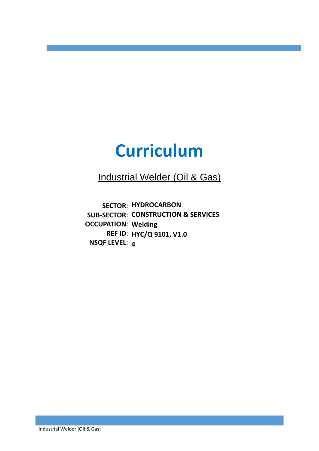# **Curriculum**

i<br>I

Industrial Welder (Oil & Gas)

**SECTOR: HYDROCARBON SUB-SECTOR: CONSTRUCTION & SERVICES OCCUPATION: Welding REF ID: HYC/Q 9101, V1.0 NSQF LEVEL: 4**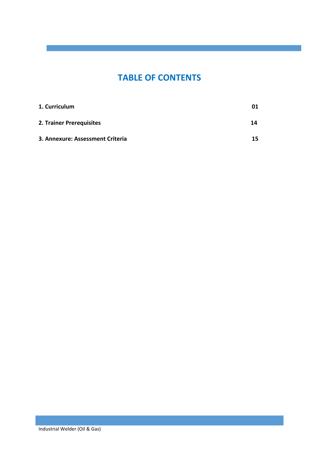### **TABLE OF CONTENTS**

i<br>I

| 1. Curriculum                    | 01 |
|----------------------------------|----|
| 2. Trainer Prerequisites         | 14 |
| 3. Annexure: Assessment Criteria | 15 |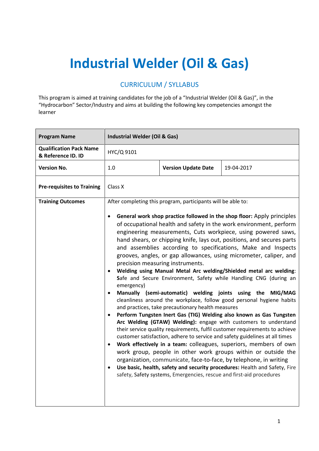## **Industrial Welder (Oil & Gas)**

#### CURRICULUM / SYLLABUS

This program is aimed at training candidates for the job of a "Industrial Welder (Oil & Gas)", in the "Hydrocarbon" Sector/Industry and aims at building the following key competencies amongst the learner

| <b>Program Name</b>                                  | <b>Industrial Welder (Oil &amp; Gas)</b>                                                                                                                                                                                                                                                                                                                                                                                                                                                                                                                                                                                                                                                                                                                                                                                                                                                                                                                                                                                                                                                                                                                                                                                                                                                                                                                                                                                                                                                                                                                           |                            |            |
|------------------------------------------------------|--------------------------------------------------------------------------------------------------------------------------------------------------------------------------------------------------------------------------------------------------------------------------------------------------------------------------------------------------------------------------------------------------------------------------------------------------------------------------------------------------------------------------------------------------------------------------------------------------------------------------------------------------------------------------------------------------------------------------------------------------------------------------------------------------------------------------------------------------------------------------------------------------------------------------------------------------------------------------------------------------------------------------------------------------------------------------------------------------------------------------------------------------------------------------------------------------------------------------------------------------------------------------------------------------------------------------------------------------------------------------------------------------------------------------------------------------------------------------------------------------------------------------------------------------------------------|----------------------------|------------|
| <b>Qualification Pack Name</b><br>& Reference ID. ID | HYC/Q 9101                                                                                                                                                                                                                                                                                                                                                                                                                                                                                                                                                                                                                                                                                                                                                                                                                                                                                                                                                                                                                                                                                                                                                                                                                                                                                                                                                                                                                                                                                                                                                         |                            |            |
| <b>Version No.</b>                                   | 1.0                                                                                                                                                                                                                                                                                                                                                                                                                                                                                                                                                                                                                                                                                                                                                                                                                                                                                                                                                                                                                                                                                                                                                                                                                                                                                                                                                                                                                                                                                                                                                                | <b>Version Update Date</b> | 19-04-2017 |
| <b>Pre-requisites to Training</b>                    | Class X                                                                                                                                                                                                                                                                                                                                                                                                                                                                                                                                                                                                                                                                                                                                                                                                                                                                                                                                                                                                                                                                                                                                                                                                                                                                                                                                                                                                                                                                                                                                                            |                            |            |
| <b>Training Outcomes</b>                             | After completing this program, participants will be able to:<br>General work shop practice followed in the shop floor: Apply principles<br>of occupational health and safety in the work environment, perform<br>engineering measurements, Cuts workpiece, using powered saws,<br>hand shears, or chipping knife, lays out, positions, and secures parts<br>and assemblies according to specifications, Make and Inspects<br>grooves, angles, or gap allowances, using micrometer, caliper, and<br>precision measuring instruments.<br>Welding using Manual Metal Arc welding/Shielded metal arc welding:<br>Safe and Secure Environment, Safety while Handling CNG (during an<br>emergency)<br>Manually (semi-automatic) welding joints using the MIG/MAG<br>cleanliness around the workplace, follow good personal hygiene habits<br>and practices, take precautionary health measures<br>Perform Tungsten Inert Gas (TIG) Welding also known as Gas Tungsten<br>Arc Welding (GTAW) Welding): engage with customers to understand<br>their service quality requirements, fulfil customer requirements to achieve<br>customer satisfaction, adhere to service and safety guidelines at all times<br>Work effectively in a team: colleagues, superiors, members of own<br>work group, people in other work groups within or outside the<br>organization, communicate, face-to-face, by telephone, in writing<br>Use basic, health, safety and security procedures: Health and Safety, Fire<br>safety, Safety systems, Emergencies, rescue and first-aid procedures |                            |            |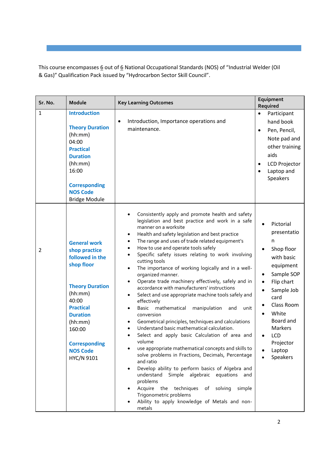This course encompasses 6 out of 6 National Occupational Standards (NOS) of "Industrial Welder (Oil & Gas)" Qualification Pack issued by "Hydrocarbon Sector Skill Council".

i<br>I

| Sr. No.        | Module                                                                                                                                                                                                                                   | <b>Key Learning Outcomes</b>                                                                                                                                                                                                                                                                                                                                                                                                                                                                                                                                                                                                                                                                                                                                                                                                                                                                                                                                                                                                                                                                                                                                                                                                                                                                                          | Equipment<br>Required                                                                                                                                                                                                          |
|----------------|------------------------------------------------------------------------------------------------------------------------------------------------------------------------------------------------------------------------------------------|-----------------------------------------------------------------------------------------------------------------------------------------------------------------------------------------------------------------------------------------------------------------------------------------------------------------------------------------------------------------------------------------------------------------------------------------------------------------------------------------------------------------------------------------------------------------------------------------------------------------------------------------------------------------------------------------------------------------------------------------------------------------------------------------------------------------------------------------------------------------------------------------------------------------------------------------------------------------------------------------------------------------------------------------------------------------------------------------------------------------------------------------------------------------------------------------------------------------------------------------------------------------------------------------------------------------------|--------------------------------------------------------------------------------------------------------------------------------------------------------------------------------------------------------------------------------|
| 1              | <b>Introduction</b><br><b>Theory Duration</b><br>(hh:mm)<br>04:00<br><b>Practical</b><br><b>Duration</b><br>(hh:mm)<br>16:00<br><b>Corresponding</b><br><b>NOS Code</b><br><b>Bridge Module</b>                                          | Introduction, Importance operations and<br>$\bullet$<br>maintenance.                                                                                                                                                                                                                                                                                                                                                                                                                                                                                                                                                                                                                                                                                                                                                                                                                                                                                                                                                                                                                                                                                                                                                                                                                                                  | Participant<br>$\bullet$<br>hand book<br>Pen, Pencil,<br>$\bullet$<br>Note pad and<br>other training<br>aids<br><b>LCD Projector</b><br>$\bullet$<br>Laptop and<br>Speakers                                                    |
| $\overline{2}$ | <b>General work</b><br>shop practice<br>followed in the<br>shop floor<br><b>Theory Duration</b><br>(hh:mm)<br>40:00<br><b>Practical</b><br><b>Duration</b><br>(hh:mm)<br>160:00<br><b>Corresponding</b><br><b>NOS Code</b><br>HYC/N 9101 | Consistently apply and promote health and safety<br>legislation and best practice and work in a safe<br>manner on a worksite<br>Health and safety legislation and best practice<br>$\bullet$<br>The range and uses of trade related equipment's<br>$\bullet$<br>How to use and operate tools safely<br>$\bullet$<br>Specific safety issues relating to work involving<br>cutting tools<br>The importance of working logically and in a well-<br>٠<br>organized manner.<br>Operate trade machinery effectively, safely and in<br>٠<br>accordance with manufacturers' instructions<br>Select and use appropriate machine tools safely and<br>٠<br>effectively<br>mathematical<br>manipulation<br>Basic<br>and<br>unit<br>$\bullet$<br>conversion<br>Geometrical principles, techniques and calculations<br>$\bullet$<br>Understand basic mathematical calculation.<br>Select and apply basic Calculation of area and<br>volume<br>use appropriate mathematical concepts and skills to<br>solve problems in Fractions, Decimals, Percentage<br>and ratio<br>Develop ability to perform basics of Algebra and<br>understand<br>Simple algebraic<br>equations<br>and<br>problems<br>Acquire the techniques<br>of<br>solving<br>simple<br>Trigonometric problems<br>Ability to apply knowledge of Metals and non-<br>metals | Pictorial<br>presentatio<br>n<br>Shop floor<br>with basic<br>equipment<br>Sample SOP<br>$\bullet$<br>Flip chart<br>Sample Job<br>card<br>Class Room<br>White<br>Board and<br>Markers<br>LCD<br>Projector<br>Laptop<br>Speakers |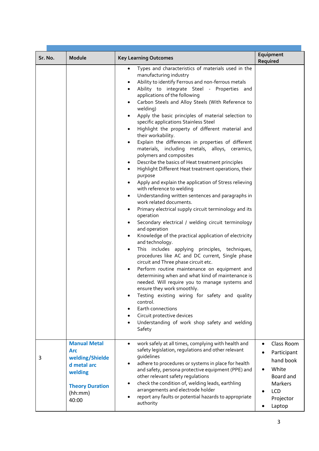|         |                                                                                                                       |                                                                                                                                                                                                                                                                                                                                                                                                                                                                                                                                                                                                                                                                                                                                                                                                                                                                                                                                                                                                                                                                                                                                                                                                                                                                                                                                                                                                                                                                                                                                                                                                                                                                                                                                                                     | Equipment                                                                                                                                                  |
|---------|-----------------------------------------------------------------------------------------------------------------------|---------------------------------------------------------------------------------------------------------------------------------------------------------------------------------------------------------------------------------------------------------------------------------------------------------------------------------------------------------------------------------------------------------------------------------------------------------------------------------------------------------------------------------------------------------------------------------------------------------------------------------------------------------------------------------------------------------------------------------------------------------------------------------------------------------------------------------------------------------------------------------------------------------------------------------------------------------------------------------------------------------------------------------------------------------------------------------------------------------------------------------------------------------------------------------------------------------------------------------------------------------------------------------------------------------------------------------------------------------------------------------------------------------------------------------------------------------------------------------------------------------------------------------------------------------------------------------------------------------------------------------------------------------------------------------------------------------------------------------------------------------------------|------------------------------------------------------------------------------------------------------------------------------------------------------------|
| Sr. No. | Module                                                                                                                | <b>Key Learning Outcomes</b>                                                                                                                                                                                                                                                                                                                                                                                                                                                                                                                                                                                                                                                                                                                                                                                                                                                                                                                                                                                                                                                                                                                                                                                                                                                                                                                                                                                                                                                                                                                                                                                                                                                                                                                                        | Required                                                                                                                                                   |
|         |                                                                                                                       | Types and characteristics of materials used in the<br>٠<br>manufacturing industry<br>Ability to identify Ferrous and non-ferrous metals<br>٠<br>Ability to integrate Steel - Properties and<br>$\bullet$<br>applications of the following<br>Carbon Steels and Alloy Steels (With Reference to<br>$\bullet$<br>welding)<br>Apply the basic principles of material selection to<br>$\bullet$<br>specific applications Stainless Steel<br>Highlight the property of different material and<br>$\bullet$<br>their workability.<br>Explain the differences in properties of different<br>materials, including metals, alloys, ceramics,<br>polymers and composites<br>Describe the basics of Heat treatment principles<br>٠<br>Highlight Different Heat treatment operations, their<br>purpose<br>Apply and explain the application of Stress relieving<br>٠<br>with reference to welding<br>Understanding written sentences and paragraphs in<br>٠<br>work related documents.<br>Primary electrical supply circuit terminology and its<br>٠<br>operation<br>Secondary electrical / welding circuit terminology<br>٠<br>and operation<br>Knowledge of the practical application of electricity<br>٠<br>and technology.<br>This includes applying principles, techniques,<br>٠<br>procedures like AC and DC current, Single phase<br>circuit and Three phase circuit etc.<br>Perform routine maintenance on equipment and<br>٠<br>determining when and what kind of maintenance is<br>needed. Will require you to manage systems and<br>ensure they work smoothly.<br>Testing existing wiring for safety and quality<br>control.<br>Earth connections<br>$\bullet$<br>Circuit protective devices<br>Understanding of work shop safety and welding<br>$\bullet$<br>Safety |                                                                                                                                                            |
| 3       | <b>Manual Metal</b><br>Arc<br>welding/Shielde<br>d metal arc<br>welding<br><b>Theory Duration</b><br>(hh:mm)<br>40:00 | work safely at all times, complying with health and<br>$\bullet$<br>safety legislation, regulations and other relevant<br>guidelines<br>adhere to procedures or systems in place for health<br>$\bullet$<br>and safety, persona protective equipment (PPE) and<br>other relevant safety regulations<br>check the condition of, welding leads, earthling<br>arrangements and electrode holder<br>report any faults or potential hazards to appropriate<br>authority                                                                                                                                                                                                                                                                                                                                                                                                                                                                                                                                                                                                                                                                                                                                                                                                                                                                                                                                                                                                                                                                                                                                                                                                                                                                                                  | Class Room<br>$\bullet$<br>Participant<br>hand book<br>White<br>$\bullet$<br>Board and<br><b>Markers</b><br><b>LCD</b><br>$\bullet$<br>Projector<br>Laptop |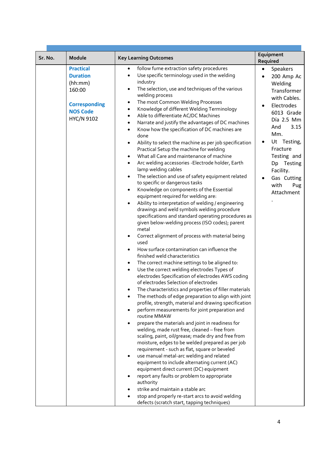|         |                                                                                                                   |                                                                                                                                                                                                                                                                                                                                                                                                                                                                                                                                                                                                                                                                                                                                                                                                                                                                                                                                                                                                                                                                                                                                                                                                                                                                                                                                                                                                                                                                                                                                                                                                                                                                                                                                                                                                                                                                                                                                                                                                                                                                                                                                                                                                                                                                                                                                                              | Equipment                                                                                                                                                                                                                                                                                   |
|---------|-------------------------------------------------------------------------------------------------------------------|--------------------------------------------------------------------------------------------------------------------------------------------------------------------------------------------------------------------------------------------------------------------------------------------------------------------------------------------------------------------------------------------------------------------------------------------------------------------------------------------------------------------------------------------------------------------------------------------------------------------------------------------------------------------------------------------------------------------------------------------------------------------------------------------------------------------------------------------------------------------------------------------------------------------------------------------------------------------------------------------------------------------------------------------------------------------------------------------------------------------------------------------------------------------------------------------------------------------------------------------------------------------------------------------------------------------------------------------------------------------------------------------------------------------------------------------------------------------------------------------------------------------------------------------------------------------------------------------------------------------------------------------------------------------------------------------------------------------------------------------------------------------------------------------------------------------------------------------------------------------------------------------------------------------------------------------------------------------------------------------------------------------------------------------------------------------------------------------------------------------------------------------------------------------------------------------------------------------------------------------------------------------------------------------------------------------------------------------------------------|---------------------------------------------------------------------------------------------------------------------------------------------------------------------------------------------------------------------------------------------------------------------------------------------|
| Sr. No. | Module                                                                                                            | <b>Key Learning Outcomes</b>                                                                                                                                                                                                                                                                                                                                                                                                                                                                                                                                                                                                                                                                                                                                                                                                                                                                                                                                                                                                                                                                                                                                                                                                                                                                                                                                                                                                                                                                                                                                                                                                                                                                                                                                                                                                                                                                                                                                                                                                                                                                                                                                                                                                                                                                                                                                 | Required                                                                                                                                                                                                                                                                                    |
|         | <b>Practical</b><br><b>Duration</b><br>(hh:mm)<br>160:00<br><b>Corresponding</b><br><b>NOS Code</b><br>HYC/N 9102 | follow fume extraction safety procedures<br>$\bullet$<br>Use specific terminology used in the welding<br>industry<br>The selection, use and techniques of the various<br>welding process<br>The most Common Welding Processes<br>$\bullet$<br>Knowledge of different Welding Terminology<br>$\bullet$<br>Able to differentiate AC/DC Machines<br>$\bullet$<br>Narrate and justify the advantages of DC machines<br>Know how the specification of DC machines are<br>$\bullet$<br>done<br>Ability to select the machine as per job specification<br>Practical Setup the machine for welding<br>What all Care and maintenance of machine<br>Arc welding accessories - Electrode holder, Earth<br>$\bullet$<br>lamp welding cables<br>The selection and use of safety equipment related<br>to specific or dangerous tasks<br>Knowledge on components of the Essential<br>$\bullet$<br>equipment required for welding are:<br>Ability to interpretation of welding / engineering<br>drawings and weld symbols welding procedure<br>specifications and standard operating procedures as<br>given below-welding process (ISO codes); parent<br>metal<br>Correct alignment of process with material being<br>used<br>How surface contamination can influence the<br>finished weld characteristics<br>The correct machine settings to be aligned to:<br>$\bullet$<br>Use the correct welding electrodes Types of<br>electrodes Specification of electrodes AWS coding<br>of electrodes Selection of electrodes<br>The characteristics and properties of filler materials<br>The methods of edge preparation to align with joint<br>profile, strength, material and drawing specification<br>perform measurements for joint preparation and<br>routine MMAW<br>prepare the materials and joint in readiness for<br>welding, made rust free, cleaned - free from<br>scaling, paint, oil/grease; made dry and free from<br>moisture, edges to be welded prepared as per job<br>requirement - such as flat, square or beveled<br>use manual metal-arc welding and related<br>equipment to include alternating current (AC)<br>equipment direct current (DC) equipment<br>report any faults or problem to appropriate<br>authority<br>strike and maintain a stable arc<br>stop and properly re-start arcs to avoid welding<br>defects (scratch start, tapping techniques) | Speakers<br>$\bullet$<br>200 Amp Ac<br>$\bullet$<br>Welding<br>Transformer<br>with Cables.<br>Electrodes<br>6013 Grade<br>Día 2.5 Mm<br>3.15<br>And<br>Mm.<br>Ut Testing,<br>$\bullet$<br>Fracture<br>Testing and<br>Testing<br>Dp<br>Facility.<br>Gas Cutting<br>with<br>Pug<br>Attachment |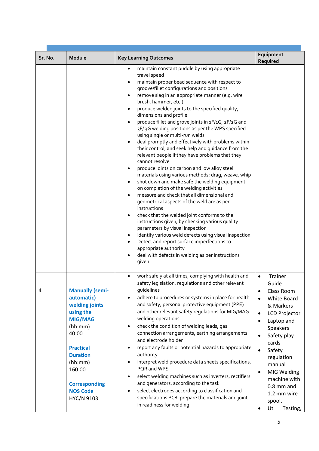| Sr. No. | Module                                                                                                                                                                                                                         | <b>Key Learning Outcomes</b>                                                                                                                                                                                                                                                                                                                                                                                                                                                                                                                                                                                                                                                                                                                                                                                                                                                                                                                                                                                                                                                                                                                                                                                                                                                                                                                                                                                            | Equipment                                                                                                                                                                                                                                                                                                                                                                       |
|---------|--------------------------------------------------------------------------------------------------------------------------------------------------------------------------------------------------------------------------------|-------------------------------------------------------------------------------------------------------------------------------------------------------------------------------------------------------------------------------------------------------------------------------------------------------------------------------------------------------------------------------------------------------------------------------------------------------------------------------------------------------------------------------------------------------------------------------------------------------------------------------------------------------------------------------------------------------------------------------------------------------------------------------------------------------------------------------------------------------------------------------------------------------------------------------------------------------------------------------------------------------------------------------------------------------------------------------------------------------------------------------------------------------------------------------------------------------------------------------------------------------------------------------------------------------------------------------------------------------------------------------------------------------------------------|---------------------------------------------------------------------------------------------------------------------------------------------------------------------------------------------------------------------------------------------------------------------------------------------------------------------------------------------------------------------------------|
|         |                                                                                                                                                                                                                                | maintain constant puddle by using appropriate<br>٠<br>travel speed<br>maintain proper bead sequence with respect to<br>groove/fillet configurations and positions<br>remove slag in an appropriate manner (e.g. wire<br>$\bullet$<br>brush, hammer, etc.)<br>produce welded joints to the specified quality,<br>$\bullet$<br>dimensions and profile<br>produce fillet and grove joints in 1F/1G, 2F/2G and<br>$\bullet$<br>3F/3G welding positions as per the WPS specified<br>using single or multi-run welds<br>deal promptly and effectively with problems within<br>$\bullet$<br>their control, and seek help and guidance from the<br>relevant people if they have problems that they<br>cannot resolve<br>produce joints on carbon and low alloy steel<br>٠<br>materials using various methods: drag, weave, whip<br>shut down and make safe the welding equipment<br>٠<br>on completion of the welding activities<br>measure and check that all dimensional and<br>$\bullet$<br>geometrical aspects of the weld are as per<br>instructions<br>check that the welded joint conforms to the<br>$\bullet$<br>instructions given, by checking various quality<br>parameters by visual inspection<br>identify various weld defects using visual inspection<br>٠<br>Detect and report surface imperfections to<br>$\bullet$<br>appropriate authority<br>deal with defects in welding as per instructions<br>٠<br>given | Required                                                                                                                                                                                                                                                                                                                                                                        |
| 4       | <b>Manually (semi-</b><br>automatic)<br>welding joints<br>using the<br><b>MIG/MAG</b><br>(hh:mm)<br>40:00<br><b>Practical</b><br><b>Duration</b><br>(hh:mm)<br>160:00<br><b>Corresponding</b><br><b>NOS Code</b><br>HYC/N 9103 | work safely at all times, complying with health and<br>$\bullet$<br>safety legislation, regulations and other relevant<br>quidelines<br>adhere to procedures or systems in place for health<br>and safety, personal protective equipment (PPE)<br>and other relevant safety regulations for MIG/MAG<br>welding operations<br>check the condition of welding leads, gas<br>connection arrangements, earthing arrangements<br>and electrode holder<br>report any faults or potential hazards to appropriate<br>٠<br>authority<br>interpret weld procedure data sheets specifications,<br>٠<br>PQR and WPS<br>select welding machines such as inverters, rectifiers<br>$\bullet$<br>and generators, according to the task<br>select electrodes according to classification and<br>٠<br>specifications PC8. prepare the materials and joint<br>in readiness for welding                                                                                                                                                                                                                                                                                                                                                                                                                                                                                                                                                     | Trainer<br>$\bullet$<br>Guide<br>Class Room<br>$\bullet$<br><b>White Board</b><br>$\bullet$<br>& Markers<br><b>LCD Projector</b><br>$\bullet$<br>Laptop and<br>$\bullet$<br>Speakers<br>Safety play<br>$\bullet$<br>cards<br>Safety<br>$\bullet$<br>regulation<br>manual<br>MIG Welding<br>$\bullet$<br>machine with<br>$0.8$ mm and<br>1.2 mm wire<br>spool.<br>Ut<br>Testing, |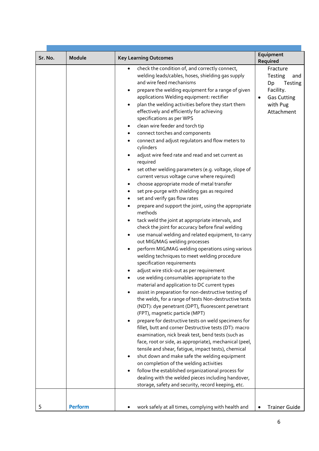|         |                |                                                                                                                                                                                                                                                                                                                                                                                                                                                                                                                                                                                                                                                                                                                                                                                                                                                                                                                                                                                                                                                                                                                                                                                                                                                                                                                                                                                                                                                                                                                                                                                                                                                                                                                                                                                                                                                                                                                                                                                                                                                                                                                                                                                              | Equipment                                                                                                            |
|---------|----------------|----------------------------------------------------------------------------------------------------------------------------------------------------------------------------------------------------------------------------------------------------------------------------------------------------------------------------------------------------------------------------------------------------------------------------------------------------------------------------------------------------------------------------------------------------------------------------------------------------------------------------------------------------------------------------------------------------------------------------------------------------------------------------------------------------------------------------------------------------------------------------------------------------------------------------------------------------------------------------------------------------------------------------------------------------------------------------------------------------------------------------------------------------------------------------------------------------------------------------------------------------------------------------------------------------------------------------------------------------------------------------------------------------------------------------------------------------------------------------------------------------------------------------------------------------------------------------------------------------------------------------------------------------------------------------------------------------------------------------------------------------------------------------------------------------------------------------------------------------------------------------------------------------------------------------------------------------------------------------------------------------------------------------------------------------------------------------------------------------------------------------------------------------------------------------------------------|----------------------------------------------------------------------------------------------------------------------|
| Sr. No. | Module         | <b>Key Learning Outcomes</b>                                                                                                                                                                                                                                                                                                                                                                                                                                                                                                                                                                                                                                                                                                                                                                                                                                                                                                                                                                                                                                                                                                                                                                                                                                                                                                                                                                                                                                                                                                                                                                                                                                                                                                                                                                                                                                                                                                                                                                                                                                                                                                                                                                 | Required                                                                                                             |
|         |                | check the condition of, and correctly connect,<br>welding leads/cables, hoses, shielding gas supply<br>and wire feed mechanisms<br>prepare the welding equipment for a range of given<br>٠<br>applications Welding equipment: rectifier<br>plan the welding activities before they start them<br>effectively and efficiently for achieving<br>specifications as per WPS<br>clean wire feeder and torch tip<br>$\bullet$<br>connect torches and components<br>٠<br>connect and adjust regulators and flow meters to<br>cylinders<br>adjust wire feed rate and read and set current as<br>required<br>set other welding parameters (e.g. voltage, slope of<br>٠<br>current versus voltage curve where required)<br>choose appropriate mode of metal transfer<br>$\bullet$<br>set pre-purge with shielding gas as required<br>٠<br>set and verify gas flow rates<br>٠<br>prepare and support the joint, using the appropriate<br>methods<br>tack weld the joint at appropriate intervals, and<br>٠<br>check the joint for accuracy before final welding<br>use manual welding and related equipment, to carry<br>٠<br>out MIG/MAG welding processes<br>perform MIG/MAG welding operations using various<br>٠<br>welding techniques to meet welding procedure<br>specification requirements<br>adjust wire stick-out as per requirement<br>use welding consumables appropriate to the<br>material and application to DC current types<br>assist in preparation for non-destructive testing of<br>the welds, for a range of tests Non-destructive tests<br>(NDT): dye penetrant (DPT), fluorescent penetrant<br>(FPT), magnetic particle (MPT)<br>prepare for destructive tests on weld specimens for<br>fillet, butt and corner Destructive tests (DT): macro<br>examination, nick break test, bend tests (such as<br>face, root or side, as appropriate), mechanical (peel,<br>tensile and shear, fatigue, impact tests), chemical<br>shut down and make safe the welding equipment<br>on completion of the welding activities<br>follow the established organizational process for<br>dealing with the welded pieces including handover,<br>storage, safety and security, record keeping, etc. | Fracture<br><b>Testing</b><br>and<br>Testing<br>Dp<br>Facility.<br><b>Gas Cutting</b><br>٠<br>with Pug<br>Attachment |
| 5       | <b>Perform</b> | work safely at all times, complying with health and                                                                                                                                                                                                                                                                                                                                                                                                                                                                                                                                                                                                                                                                                                                                                                                                                                                                                                                                                                                                                                                                                                                                                                                                                                                                                                                                                                                                                                                                                                                                                                                                                                                                                                                                                                                                                                                                                                                                                                                                                                                                                                                                          | <b>Trainer Guide</b>                                                                                                 |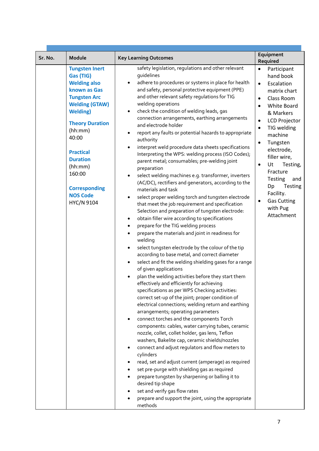|         |                                                                                                                                                                                                                                                                                                                  |                                                                                                                                                                                                                                                                                                                                                                                                                                                                                                                                                                                                                                                                                                                                                                                                                                                                                                                                                                                                                                                                                                                                                                                                                                                                                                                                                                                                                                                                                                                                                                                                                                                                                                                                                                                                                                                                                                                                                                                                                                                                                                                                                                                                                 | Equipment                                                                                                                                                                                                                                                                                                                                                                                                                                              |
|---------|------------------------------------------------------------------------------------------------------------------------------------------------------------------------------------------------------------------------------------------------------------------------------------------------------------------|-----------------------------------------------------------------------------------------------------------------------------------------------------------------------------------------------------------------------------------------------------------------------------------------------------------------------------------------------------------------------------------------------------------------------------------------------------------------------------------------------------------------------------------------------------------------------------------------------------------------------------------------------------------------------------------------------------------------------------------------------------------------------------------------------------------------------------------------------------------------------------------------------------------------------------------------------------------------------------------------------------------------------------------------------------------------------------------------------------------------------------------------------------------------------------------------------------------------------------------------------------------------------------------------------------------------------------------------------------------------------------------------------------------------------------------------------------------------------------------------------------------------------------------------------------------------------------------------------------------------------------------------------------------------------------------------------------------------------------------------------------------------------------------------------------------------------------------------------------------------------------------------------------------------------------------------------------------------------------------------------------------------------------------------------------------------------------------------------------------------------------------------------------------------------------------------------------------------|--------------------------------------------------------------------------------------------------------------------------------------------------------------------------------------------------------------------------------------------------------------------------------------------------------------------------------------------------------------------------------------------------------------------------------------------------------|
| Sr. No. | Module                                                                                                                                                                                                                                                                                                           | <b>Key Learning Outcomes</b>                                                                                                                                                                                                                                                                                                                                                                                                                                                                                                                                                                                                                                                                                                                                                                                                                                                                                                                                                                                                                                                                                                                                                                                                                                                                                                                                                                                                                                                                                                                                                                                                                                                                                                                                                                                                                                                                                                                                                                                                                                                                                                                                                                                    | Required                                                                                                                                                                                                                                                                                                                                                                                                                                               |
|         | <b>Tungsten Inert</b><br>Gas (TIG)<br><b>Welding also</b><br>known as Gas<br><b>Tungsten Arc</b><br><b>Welding (GTAW)</b><br><b>Welding</b> )<br><b>Theory Duration</b><br>(hh:mm)<br>40:00<br><b>Practical</b><br><b>Duration</b><br>(hh:mm)<br>160:00<br><b>Corresponding</b><br><b>NOS Code</b><br>HYC/N 9104 | safety legislation, regulations and other relevant<br>quidelines<br>adhere to procedures or systems in place for health<br>and safety, personal protective equipment (PPE)<br>and other relevant safety regulations for TIG<br>welding operations<br>check the condition of welding leads, gas<br>connection arrangements, earthing arrangements<br>and electrode holder<br>report any faults or potential hazards to appropriate<br>authority<br>interpret weld procedure data sheets specifications<br>$\bullet$<br>Interpreting the WPS: welding process (ISO Codes);<br>parent metal; consumables; pre-welding joint<br>preparation<br>select welding machines e.g. transformer, inverters<br>(AC/DC), rectifiers and generators, according to the<br>materials and task<br>select proper welding torch and tungsten electrode<br>$\bullet$<br>that meet the job requirement and specification<br>Selection and preparation of tungsten electrode:<br>obtain filler wire according to specifications<br>$\bullet$<br>prepare for the TIG welding process<br>$\bullet$<br>prepare the materials and joint in readiness for<br>welding<br>select tungsten electrode by the colour of the tip<br>according to base metal, and correct diameter<br>select and fit the welding shielding gases for a range<br>of given applications<br>plan the welding activities before they start them<br>effectively and efficiently for achieving<br>specifications as per WPS Checking activities:<br>correct set-up of the joint; proper condition of<br>electrical connections; welding return and earthing<br>arrangements; operating parameters<br>connect torches and the components Torch<br>$\bullet$<br>components: cables, water carrying tubes, ceramic<br>nozzle, collet, collet holder, gas lens, Teflon<br>washers, Bakelite cap, ceramic shields/nozzles<br>connect and adjust regulators and flow meters to<br>cylinders<br>read, set and adjust current (amperage) as required<br>set pre-purge with shielding gas as required<br>prepare tungsten by sharpening or balling it to<br>desired tip shape<br>set and verify gas flow rates<br>prepare and support the joint, using the appropriate<br>methods | $\bullet$<br>Participant<br>hand book<br>Escalation<br>$\bullet$<br>matrix chart<br>Class Room<br>$\bullet$<br>White Board<br>$\bullet$<br>& Markers<br><b>LCD Projector</b><br>$\bullet$<br>TIG welding<br>$\bullet$<br>machine<br>Tungsten<br>$\bullet$<br>electrode,<br>filler wire,<br>Ut<br>Testing,<br>$\bullet$<br>Fracture<br><b>Testing</b><br>and<br>Testing<br>Dp<br>Facility.<br><b>Gas Cutting</b><br>$\bullet$<br>with Pug<br>Attachment |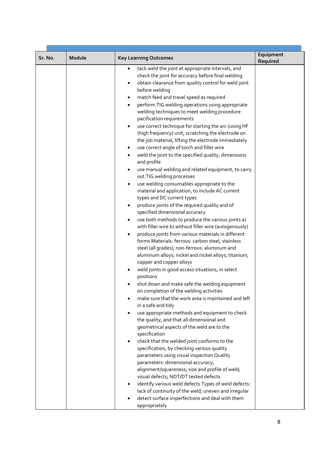|         |        |                                                                                                                                                                                                                                                                                                                                                                                                                                                                                                                                                                                                                                                                                                                                                                                                                                                                                                                                                                                                                                                                                                                                                                                                                                                                                                                                                                                                                                                                                                                                                                                                                                                                                                                                                                                                                                                                                                                                                                                                                                                                                                                                                                            | Equipment |
|---------|--------|----------------------------------------------------------------------------------------------------------------------------------------------------------------------------------------------------------------------------------------------------------------------------------------------------------------------------------------------------------------------------------------------------------------------------------------------------------------------------------------------------------------------------------------------------------------------------------------------------------------------------------------------------------------------------------------------------------------------------------------------------------------------------------------------------------------------------------------------------------------------------------------------------------------------------------------------------------------------------------------------------------------------------------------------------------------------------------------------------------------------------------------------------------------------------------------------------------------------------------------------------------------------------------------------------------------------------------------------------------------------------------------------------------------------------------------------------------------------------------------------------------------------------------------------------------------------------------------------------------------------------------------------------------------------------------------------------------------------------------------------------------------------------------------------------------------------------------------------------------------------------------------------------------------------------------------------------------------------------------------------------------------------------------------------------------------------------------------------------------------------------------------------------------------------------|-----------|
| Sr. No. | Module | <b>Key Learning Outcomes</b>                                                                                                                                                                                                                                                                                                                                                                                                                                                                                                                                                                                                                                                                                                                                                                                                                                                                                                                                                                                                                                                                                                                                                                                                                                                                                                                                                                                                                                                                                                                                                                                                                                                                                                                                                                                                                                                                                                                                                                                                                                                                                                                                               | Required  |
|         |        | tack weld the joint at appropriate intervals, and<br>٠<br>check the joint for accuracy before final welding<br>obtain clearance from quality control for weld joint<br>$\bullet$<br>before welding<br>match feed and travel speed as required<br>$\bullet$<br>perform TIG welding operations using appropriate<br>$\bullet$<br>welding techniques to meet welding procedure<br>pacification requirements<br>use correct technique for starting the arc (using HF<br>$\bullet$<br>(high frequency) unit, scratching the electrode on<br>the job material, lifting the electrode immediately<br>use correct angle of torch and filler wire<br>weld the joint to the specified quality, dimensions<br>$\bullet$<br>and profile<br>use manual welding and related equipment, to carry<br>out TIG welding processes<br>use welding consumables appropriate to the<br>$\bullet$<br>material and application, to include AC current<br>types and DC current types<br>produce joints of the required quality and of<br>specified dimensional accuracy<br>use both methods to produce the various joints a)<br>$\bullet$<br>with filler wire b) without filler wire (autogenously)<br>produce joints from various materials in different<br>٠<br>forms Materials: ferrous: carbon steel, stainless<br>steel (all grades); non-ferrous: aluminum and<br>aluminum alloys; nickel and nickel alloys; titanium;<br>copper and copper alloys<br>weld joints in good access situations, in select<br>positions<br>shut down and make safe the welding equipment<br>on completion of the welding activities<br>make sure that the work area is maintained and left<br>in a safe and tidy<br>use appropriate methods and equipment to check<br>the quality, and that all dimensional and<br>geometrical aspects of the weld are to the<br>specification<br>check that the welded joint conforms to the<br>specification, by checking various quality<br>parameters using visual inspection Quality<br>parameters: dimensional accuracy;<br>alignment/squareness; size and profile of weld;<br>visual defects; NDT/DT tested defects<br>identify various weld defects Types of weld defects: |           |
|         |        | lack of continuity of the weld; uneven and irregular<br>detect surface imperfections and deal with them                                                                                                                                                                                                                                                                                                                                                                                                                                                                                                                                                                                                                                                                                                                                                                                                                                                                                                                                                                                                                                                                                                                                                                                                                                                                                                                                                                                                                                                                                                                                                                                                                                                                                                                                                                                                                                                                                                                                                                                                                                                                    |           |
|         |        | appropriately                                                                                                                                                                                                                                                                                                                                                                                                                                                                                                                                                                                                                                                                                                                                                                                                                                                                                                                                                                                                                                                                                                                                                                                                                                                                                                                                                                                                                                                                                                                                                                                                                                                                                                                                                                                                                                                                                                                                                                                                                                                                                                                                                              |           |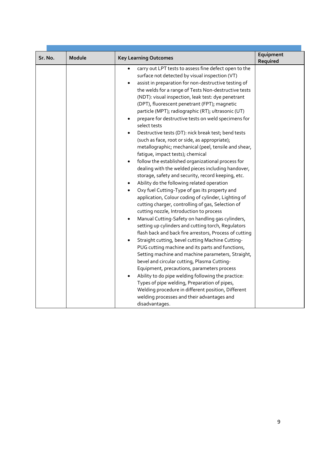| Sr. No. | Module | <b>Key Learning Outcomes</b>                                                                                                                                                                                                                                                                                                                                                                                                                                                                                                                                                                                                                                                                                                                                                                                                                                                                                                                                                                                                                                                                                                                                                                                                                                                                                                                                                                                                                                                                                                                                                                                                                                                                                                                                                           | Equipment<br>Required |
|---------|--------|----------------------------------------------------------------------------------------------------------------------------------------------------------------------------------------------------------------------------------------------------------------------------------------------------------------------------------------------------------------------------------------------------------------------------------------------------------------------------------------------------------------------------------------------------------------------------------------------------------------------------------------------------------------------------------------------------------------------------------------------------------------------------------------------------------------------------------------------------------------------------------------------------------------------------------------------------------------------------------------------------------------------------------------------------------------------------------------------------------------------------------------------------------------------------------------------------------------------------------------------------------------------------------------------------------------------------------------------------------------------------------------------------------------------------------------------------------------------------------------------------------------------------------------------------------------------------------------------------------------------------------------------------------------------------------------------------------------------------------------------------------------------------------------|-----------------------|
|         |        | carry out LPT tests to assess fine defect open to the<br>surface not detected by visual inspection (VT)<br>assist in preparation for non-destructive testing of<br>$\bullet$<br>the welds for a range of Tests Non-destructive tests<br>(NDT): visual inspection, leak test: dye penetrant<br>(DPT), fluorescent penetrant (FPT); magnetic<br>particle (MPT); radiographic (RT); ultrasonic (UT)<br>prepare for destructive tests on weld specimens for<br>select tests<br>Destructive tests (DT): nick break test; bend tests<br>(such as face, root or side, as appropriate);<br>metallographic; mechanical (peel, tensile and shear,<br>fatigue, impact tests); chemical<br>follow the established organizational process for<br>dealing with the welded pieces including handover,<br>storage, safety and security, record keeping, etc.<br>Ability do the following related operation<br>Oxy fuel Cutting-Type of gas its property and<br>application, Colour coding of cylinder, Lighting of<br>cutting charger, controlling of gas, Selection of<br>cutting nozzle, Introduction to process<br>Manual Cutting-Safety on handling gas cylinders,<br>$\bullet$<br>setting up cylinders and cutting torch, Regulators<br>flash back and back fire arrestors, Process of cutting<br>Straight cutting, bevel cutting Machine Cutting-<br>PUG cutting machine and its parts and functions,<br>Setting machine and machine parameters, Straight,<br>bevel and circular cutting, Plasma Cutting-<br>Equipment, precautions, parameters process<br>Ability to do pipe welding following the practice:<br>$\bullet$<br>Types of pipe welding, Preparation of pipes,<br>Welding procedure in different position, Different<br>welding processes and their advantages and<br>disadvantages. |                       |
|         |        |                                                                                                                                                                                                                                                                                                                                                                                                                                                                                                                                                                                                                                                                                                                                                                                                                                                                                                                                                                                                                                                                                                                                                                                                                                                                                                                                                                                                                                                                                                                                                                                                                                                                                                                                                                                        |                       |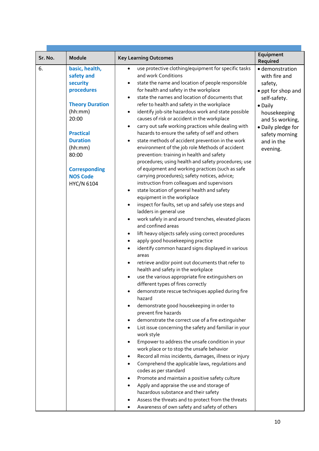| Sr. No. | Module                                                                                                                                                                                                                   | <b>Key Learning Outcomes</b>                                                                                                                                                                                                                                                                                                                                                                                                                                                                                                                                                                                                                                                                                                                                                                                                                                                                                                                                                                                                                                                                                                                                                                                                                                                                                                                                                                                                                                                                                                                                                                                                                                                                                                                                                                                                                                                  | Equipment                                                                                                                                                                                                     |
|---------|--------------------------------------------------------------------------------------------------------------------------------------------------------------------------------------------------------------------------|-------------------------------------------------------------------------------------------------------------------------------------------------------------------------------------------------------------------------------------------------------------------------------------------------------------------------------------------------------------------------------------------------------------------------------------------------------------------------------------------------------------------------------------------------------------------------------------------------------------------------------------------------------------------------------------------------------------------------------------------------------------------------------------------------------------------------------------------------------------------------------------------------------------------------------------------------------------------------------------------------------------------------------------------------------------------------------------------------------------------------------------------------------------------------------------------------------------------------------------------------------------------------------------------------------------------------------------------------------------------------------------------------------------------------------------------------------------------------------------------------------------------------------------------------------------------------------------------------------------------------------------------------------------------------------------------------------------------------------------------------------------------------------------------------------------------------------------------------------------------------------|---------------------------------------------------------------------------------------------------------------------------------------------------------------------------------------------------------------|
| 6.      | basic, health,<br>safety and<br>security<br>procedures<br><b>Theory Duration</b><br>(hh:mm)<br>20:00<br><b>Practical</b><br><b>Duration</b><br>(hh:mm)<br>80:00<br><b>Corresponding</b><br><b>NOS Code</b><br>HYC/N 6104 | use protective clothing/equipment for specific tasks<br>$\bullet$<br>and work Conditions<br>state the name and location of people responsible<br>for health and safety in the workplace<br>state the names and location of documents that<br>$\bullet$<br>refer to health and safety in the workplace<br>identify job-site hazardous work and state possible<br>$\bullet$<br>causes of risk or accident in the workplace<br>carry out safe working practices while dealing with<br>٠<br>hazards to ensure the safety of self and others<br>state methods of accident prevention in the work<br>environment of the job role Methods of accident<br>prevention: training in health and safety<br>procedures; using health and safety procedures; use<br>of equipment and working practices (such as safe<br>carrying procedures); safety notices, advice;<br>instruction from colleagues and supervisors<br>state location of general health and safety<br>equipment in the workplace<br>inspect for faults, set up and safely use steps and<br>ladders in general use<br>work safely in and around trenches, elevated places<br>$\bullet$<br>and confined areas<br>lift heavy objects safely using correct procedures<br>apply good housekeeping practice<br>identify common hazard signs displayed in various<br>areas<br>retrieve and/or point out documents that refer to<br>health and safety in the workplace<br>use the various appropriate fire extinguishers on<br>different types of fires correctly<br>demonstrate rescue techniques applied during fire<br>hazard<br>demonstrate good housekeeping in order to<br>prevent fire hazards<br>demonstrate the correct use of a fire extinguisher<br>List issue concerning the safety and familiar in your<br>work style<br>Empower to address the unsafe condition in your<br>work place or to stop the unsafe behavior | Required<br>· demonstration<br>with fire and<br>safety,<br>• ppt for shop and<br>self-safety.<br>• Daily<br>housekeeping<br>and 5s working,<br>· Daily pledge for<br>safety morning<br>and in the<br>evening. |
|         |                                                                                                                                                                                                                          | Record all miss incidents, damages, illness or injury<br>Comprehend the applicable laws, regulations and<br>codes as per standard<br>Promote and maintain a positive safety culture<br>Apply and appraise the use and storage of<br>hazardous substance and their safety<br>Assess the threats and to protect from the threats<br>Awareness of own safety and safety of others                                                                                                                                                                                                                                                                                                                                                                                                                                                                                                                                                                                                                                                                                                                                                                                                                                                                                                                                                                                                                                                                                                                                                                                                                                                                                                                                                                                                                                                                                                |                                                                                                                                                                                                               |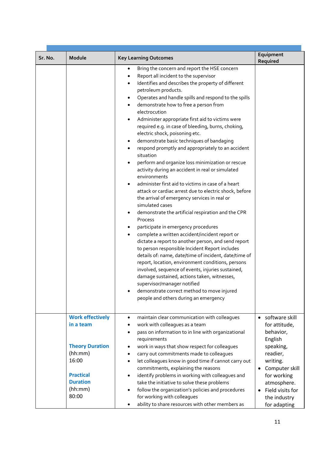| Sr. No. | Module                                                                                                | <b>Key Learning Outcomes</b>                                                                                                                                                                                                                                                                                                                                                                                                                                                                                                                                                                                                                                                                                                                                                                                                                                                                                                                                                                                                                                                                                                                                                                                                                                                                                                                                                                                                                                                                                                                         | Equipment<br>Required                                                                                                                              |
|---------|-------------------------------------------------------------------------------------------------------|------------------------------------------------------------------------------------------------------------------------------------------------------------------------------------------------------------------------------------------------------------------------------------------------------------------------------------------------------------------------------------------------------------------------------------------------------------------------------------------------------------------------------------------------------------------------------------------------------------------------------------------------------------------------------------------------------------------------------------------------------------------------------------------------------------------------------------------------------------------------------------------------------------------------------------------------------------------------------------------------------------------------------------------------------------------------------------------------------------------------------------------------------------------------------------------------------------------------------------------------------------------------------------------------------------------------------------------------------------------------------------------------------------------------------------------------------------------------------------------------------------------------------------------------------|----------------------------------------------------------------------------------------------------------------------------------------------------|
|         |                                                                                                       | Bring the concern and report the HSE concern<br>$\bullet$<br>Report all incident to the supervisor<br>Identifies and describes the property of different<br>$\bullet$<br>petroleum products.<br>Operates and handle spills and respond to the spills<br>٠<br>demonstrate how to free a person from<br>٠<br>electrocution<br>Administer appropriate first aid to victims were<br>٠<br>required e.g. in case of bleeding, burns, choking,<br>electric shock, poisoning etc.<br>demonstrate basic techniques of bandaging<br>٠<br>respond promptly and appropriately to an accident<br>$\bullet$<br>situation<br>perform and organize loss minimization or rescue<br>٠<br>activity during an accident in real or simulated<br>environments<br>administer first aid to victims in case of a heart<br>٠<br>attack or cardiac arrest due to electric shock, before<br>the arrival of emergency services in real or<br>simulated cases<br>demonstrate the artificial respiration and the CPR<br>٠<br>Process<br>participate in emergency procedures<br>٠<br>complete a written accident/incident report or<br>dictate a report to another person, and send report<br>to person responsible Incident Report includes<br>details of: name, date/time of incident, date/time of<br>report, location, environment conditions, persons<br>involved, sequence of events, injuries sustained,<br>damage sustained, actions taken, witnesses,<br>supervisor/manager notified<br>demonstrate correct method to move injured<br>people and others during an emergency |                                                                                                                                                    |
|         | <b>Work effectively</b><br>in a team                                                                  | maintain clear communication with colleagues<br>٠<br>work with colleagues as a team<br>٠<br>pass on information to in line with organizational<br>$\bullet$<br>requirements                                                                                                                                                                                                                                                                                                                                                                                                                                                                                                                                                                                                                                                                                                                                                                                                                                                                                                                                                                                                                                                                                                                                                                                                                                                                                                                                                                          | software skill<br>$\bullet$<br>for attitude,<br>behavior,<br>English                                                                               |
|         | <b>Theory Duration</b><br>(hh:mm)<br>16:00<br><b>Practical</b><br><b>Duration</b><br>(hh:mm)<br>80:00 | work in ways that show respect for colleagues<br>carry out commitments made to colleagues<br>let colleagues know in good time if cannot carry out<br>commitments, explaining the reasons<br>identify problems in working with colleagues and<br>$\bullet$<br>take the initiative to solve these problems<br>follow the organization's policies and procedures<br>for working with colleagues<br>ability to share resources with other members as                                                                                                                                                                                                                                                                                                                                                                                                                                                                                                                                                                                                                                                                                                                                                                                                                                                                                                                                                                                                                                                                                                     | speaking,<br>readier,<br>writing.<br>Computer skill<br>$\bullet$<br>for working<br>atmosphere.<br>Field visits for<br>the industry<br>for adapting |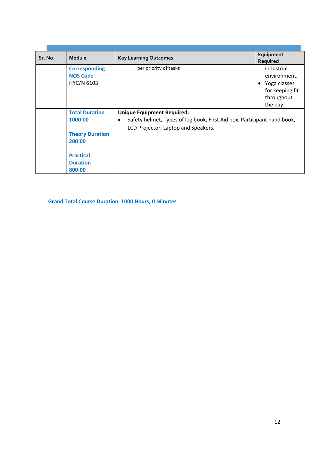| Sr. No. | Module                                  | <b>Key Learning Outcomes</b>                                                         | Equipment<br>Required      |
|---------|-----------------------------------------|--------------------------------------------------------------------------------------|----------------------------|
|         | <b>Corresponding</b><br><b>NOS Code</b> | per priority of tasks                                                                | industrial<br>environment. |
|         | HYC/N 6103                              |                                                                                      | • Yoga classes             |
|         |                                         |                                                                                      | for keeping fit            |
|         |                                         |                                                                                      | throughout                 |
|         |                                         |                                                                                      | the day.                   |
|         | <b>Total Duration</b>                   | <b>Unique Equipment Required:</b>                                                    |                            |
|         | 1000:00                                 | Safety helmet, Types of log book, First Aid box, Participant hand book,<br>$\bullet$ |                            |
|         |                                         | LCD Projector, Laptop and Speakers.                                                  |                            |
|         | <b>Theory Duration</b>                  |                                                                                      |                            |
|         | 200:00                                  |                                                                                      |                            |
|         |                                         |                                                                                      |                            |
|         | <b>Practical</b>                        |                                                                                      |                            |
|         | <b>Duration</b>                         |                                                                                      |                            |
|         | 800:00                                  |                                                                                      |                            |

**Grand Total Course Duration: 1000 Hours, 0 Minutes**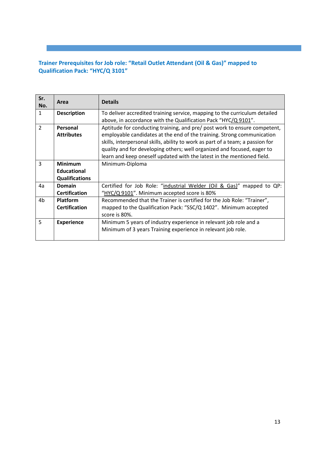#### **Trainer Prerequisites for Job role: "Retail Outlet Attendant (Oil & Gas)" mapped to Qualification Pack: "HYC/Q 3101"**

i<br>I

| Sr.<br>No.     | Area                                                          | <b>Details</b>                                                                                                                                                                                                                                                                                                                                                                             |
|----------------|---------------------------------------------------------------|--------------------------------------------------------------------------------------------------------------------------------------------------------------------------------------------------------------------------------------------------------------------------------------------------------------------------------------------------------------------------------------------|
| $\mathbf{1}$   | <b>Description</b>                                            | To deliver accredited training service, mapping to the curriculum detailed<br>above, in accordance with the Qualification Pack "HYC/Q 9101".                                                                                                                                                                                                                                               |
| $\overline{2}$ | Personal<br><b>Attributes</b>                                 | Aptitude for conducting training, and pre/ post work to ensure competent,<br>employable candidates at the end of the training. Strong communication<br>skills, interpersonal skills, ability to work as part of a team; a passion for<br>quality and for developing others; well organized and focused, eager to<br>learn and keep oneself updated with the latest in the mentioned field. |
| 3              | <b>Minimum</b><br><b>Educational</b><br><b>Qualifications</b> | Minimum-Diploma                                                                                                                                                                                                                                                                                                                                                                            |
| 4a             | <b>Domain</b><br><b>Certification</b>                         | Certified for Job Role: "industrial Welder (Oil & Gas)" mapped to QP:<br>"HYC/Q 9101". Minimum accepted score is 80%                                                                                                                                                                                                                                                                       |
| 4 <sub>b</sub> | <b>Platform</b><br><b>Certification</b>                       | Recommended that the Trainer is certified for the Job Role: "Trainer",<br>mapped to the Qualification Pack: "SSC/Q 1402". Minimum accepted<br>score is 80%.                                                                                                                                                                                                                                |
| 5              | <b>Experience</b>                                             | Minimum 5 years of industry experience in relevant job role and a<br>Minimum of 3 years Training experience in relevant job role.                                                                                                                                                                                                                                                          |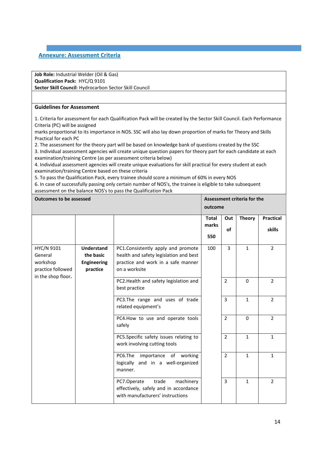#### **Annexure: Assessment Criteria**

**Job Role:** Industrial Welder (Oil & Gas) **Qualification Pack:** HYC/Q 9101 **Sector Skill Council**: Hydrocarbon Sector Skill Council

#### **Guidelines for Assessment**

1. Criteria for assessment for each Qualification Pack will be created by the Sector Skill Council. Each Performance Criteria (PC) will be assigned

i<br>I

marks proportional to its importance in NOS. SSC will also lay down proportion of marks for Theory and Skills Practical for each PC

2. The assessment for the theory part will be based on knowledge bank of questions created by the SSC 3. Individual assessment agencies will create unique question papers for theory part for each candidate at each

examination/training Centre (as per assessment criteria below)

4. Individual assessment agencies will create unique evaluations for skill practical for every student at each examination/training Centre based on these criteria

5. To pass the Qualification Pack, every trainee should score a minimum of 60% in every NOS

6. In case of successfully passing only certain number of NOS's, the trainee is eligible to take subsequent assessment on the balance NOS's to pass the Qualification Pack

| <b>Outcomes to be assessed</b>                                               |                                                                  |                                                                                                                                     | outcome                      |                  | Assessment criteria for the |                                   |
|------------------------------------------------------------------------------|------------------------------------------------------------------|-------------------------------------------------------------------------------------------------------------------------------------|------------------------------|------------------|-----------------------------|-----------------------------------|
|                                                                              |                                                                  |                                                                                                                                     | <b>Total</b><br>marks<br>550 | Out<br><b>of</b> | <b>Theory</b>               | <b>Practical</b><br><b>skills</b> |
| HYC/N 9101<br>General<br>workshop<br>practice followed<br>in the shop floor. | <b>Understand</b><br>the basic<br><b>Engineering</b><br>practice | PC1.Consistently apply and promote<br>health and safety legislation and best<br>practice and work in a safe manner<br>on a worksite | 100                          | 3                | $\mathbf{1}$                | $\overline{2}$                    |
|                                                                              |                                                                  | PC2.Health and safety legislation and<br>best practice                                                                              |                              | $\overline{2}$   | $\Omega$                    | $\overline{2}$                    |
|                                                                              |                                                                  | PC3.The range and uses of trade<br>related equipment's                                                                              |                              | 3                | $\mathbf{1}$                | $\overline{2}$                    |
|                                                                              |                                                                  | PC4.How to use and operate tools<br>safely                                                                                          |                              | $\overline{2}$   | $\Omega$                    | $\overline{2}$                    |
|                                                                              |                                                                  | PC5.Specific safety issues relating to<br>work involving cutting tools                                                              |                              | $\overline{2}$   | $\mathbf{1}$                | $\mathbf{1}$                      |
|                                                                              |                                                                  | PC6.The importance of working<br>logically and in a well-organized<br>manner.                                                       |                              | $\overline{2}$   | $\mathbf{1}$                | $\mathbf{1}$                      |
|                                                                              |                                                                  | trade<br>PC7.Operate<br>machinery<br>effectively, safely and in accordance<br>with manufacturers' instructions                      |                              | $\overline{3}$   | $\mathbf{1}$                | $\overline{2}$                    |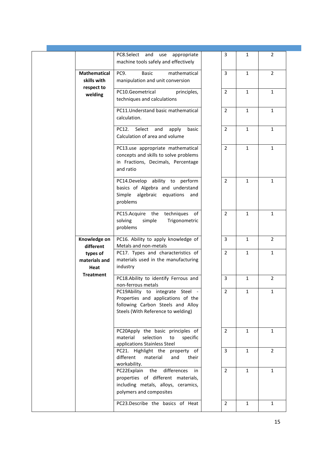| PC8.Select and use<br>3<br>$\overline{2}$<br>appropriate<br>1<br>machine tools safely and effectively<br><b>Mathematical</b><br>PC9.<br><b>Basic</b><br>mathematical<br>3<br>$\overline{2}$<br>$\mathbf{1}$<br>skills with<br>manipulation and unit conversion<br>respect to<br>$\overline{2}$<br>PC10.Geometrical<br>$\mathbf{1}$<br>$\mathbf{1}$<br>principles,<br>welding<br>techniques and calculations<br>PC11. Understand basic mathematical<br>$\overline{2}$<br>$\mathbf{1}$<br>$\mathbf{1}$<br>calculation.<br>$\overline{2}$<br>$\mathbf{1}$<br>$\mathbf{1}$<br>PC12.<br>Select<br>basic<br>and<br>apply<br>Calculation of area and volume<br>$\overline{2}$<br>PC13.use appropriate mathematical<br>$\mathbf{1}$<br>1<br>concepts and skills to solve problems<br>in Fractions, Decimals, Percentage<br>and ratio<br>PC14.Develop ability to perform<br>$\overline{2}$<br>$\mathbf{1}$<br>$\mathbf{1}$<br>basics of Algebra and understand<br>Simple algebraic equations<br>and<br>problems<br>PC15.Acquire the<br>techniques<br>$\overline{2}$<br>$\mathbf{1}$<br>of<br>$\mathbf{1}$<br>solving<br>Trigonometric<br>simple<br>problems<br>Knowledge on<br>PC16. Ability to apply knowledge of<br>$\overline{2}$<br>3<br>$\mathbf{1}$<br>Metals and non-metals<br>different<br>$\overline{2}$<br>$\mathbf{1}$<br>PC17. Types and characteristics of<br>$\mathbf{1}$<br>types of<br>materials used in the manufacturing<br>materials and<br>industry<br>Heat<br><b>Treatment</b><br>PC18.Ability to identify Ferrous and<br>3<br>$\overline{2}$<br>$\mathbf{1}$<br>non-ferrous metals<br>$\overline{2}$<br>$\mathbf{1}$<br>$\mathbf{1}$<br>PC19Ability to integrate Steel -<br>Properties and applications of the<br>following Carbon Steels and Alloy<br>Steels (With Reference to welding)<br>PC20Apply the basic principles of<br>$\overline{2}$<br>$\mathbf{1}$<br>$\mathbf{1}$<br>material<br>selection<br>specific<br>to<br>applications Stainless Steel<br>PC21. Highlight the property of<br>3<br>$\overline{2}$<br>$\mathbf{1}$<br>different<br>material<br>and<br>their<br>workability.<br>PC22Explain the differences<br>$\overline{2}$<br>$\mathbf{1}$<br>$\mathbf{1}$<br>in<br>properties of different materials,<br>including metals, alloys, ceramics,<br>polymers and composites<br>PC23.Describe the basics of Heat<br>$\overline{2}$<br>$\mathbf{1}$<br>1 |  |  |  |
|---------------------------------------------------------------------------------------------------------------------------------------------------------------------------------------------------------------------------------------------------------------------------------------------------------------------------------------------------------------------------------------------------------------------------------------------------------------------------------------------------------------------------------------------------------------------------------------------------------------------------------------------------------------------------------------------------------------------------------------------------------------------------------------------------------------------------------------------------------------------------------------------------------------------------------------------------------------------------------------------------------------------------------------------------------------------------------------------------------------------------------------------------------------------------------------------------------------------------------------------------------------------------------------------------------------------------------------------------------------------------------------------------------------------------------------------------------------------------------------------------------------------------------------------------------------------------------------------------------------------------------------------------------------------------------------------------------------------------------------------------------------------------------------------------------------------------------------------------------------------------------------------------------------------------------------------------------------------------------------------------------------------------------------------------------------------------------------------------------------------------------------------------------------------------------------------------------------------------------------------------------------------------------------------------------------------------------------------------------------------------------------|--|--|--|
|                                                                                                                                                                                                                                                                                                                                                                                                                                                                                                                                                                                                                                                                                                                                                                                                                                                                                                                                                                                                                                                                                                                                                                                                                                                                                                                                                                                                                                                                                                                                                                                                                                                                                                                                                                                                                                                                                                                                                                                                                                                                                                                                                                                                                                                                                                                                                                                       |  |  |  |
|                                                                                                                                                                                                                                                                                                                                                                                                                                                                                                                                                                                                                                                                                                                                                                                                                                                                                                                                                                                                                                                                                                                                                                                                                                                                                                                                                                                                                                                                                                                                                                                                                                                                                                                                                                                                                                                                                                                                                                                                                                                                                                                                                                                                                                                                                                                                                                                       |  |  |  |
|                                                                                                                                                                                                                                                                                                                                                                                                                                                                                                                                                                                                                                                                                                                                                                                                                                                                                                                                                                                                                                                                                                                                                                                                                                                                                                                                                                                                                                                                                                                                                                                                                                                                                                                                                                                                                                                                                                                                                                                                                                                                                                                                                                                                                                                                                                                                                                                       |  |  |  |
|                                                                                                                                                                                                                                                                                                                                                                                                                                                                                                                                                                                                                                                                                                                                                                                                                                                                                                                                                                                                                                                                                                                                                                                                                                                                                                                                                                                                                                                                                                                                                                                                                                                                                                                                                                                                                                                                                                                                                                                                                                                                                                                                                                                                                                                                                                                                                                                       |  |  |  |
|                                                                                                                                                                                                                                                                                                                                                                                                                                                                                                                                                                                                                                                                                                                                                                                                                                                                                                                                                                                                                                                                                                                                                                                                                                                                                                                                                                                                                                                                                                                                                                                                                                                                                                                                                                                                                                                                                                                                                                                                                                                                                                                                                                                                                                                                                                                                                                                       |  |  |  |
|                                                                                                                                                                                                                                                                                                                                                                                                                                                                                                                                                                                                                                                                                                                                                                                                                                                                                                                                                                                                                                                                                                                                                                                                                                                                                                                                                                                                                                                                                                                                                                                                                                                                                                                                                                                                                                                                                                                                                                                                                                                                                                                                                                                                                                                                                                                                                                                       |  |  |  |
|                                                                                                                                                                                                                                                                                                                                                                                                                                                                                                                                                                                                                                                                                                                                                                                                                                                                                                                                                                                                                                                                                                                                                                                                                                                                                                                                                                                                                                                                                                                                                                                                                                                                                                                                                                                                                                                                                                                                                                                                                                                                                                                                                                                                                                                                                                                                                                                       |  |  |  |
|                                                                                                                                                                                                                                                                                                                                                                                                                                                                                                                                                                                                                                                                                                                                                                                                                                                                                                                                                                                                                                                                                                                                                                                                                                                                                                                                                                                                                                                                                                                                                                                                                                                                                                                                                                                                                                                                                                                                                                                                                                                                                                                                                                                                                                                                                                                                                                                       |  |  |  |
|                                                                                                                                                                                                                                                                                                                                                                                                                                                                                                                                                                                                                                                                                                                                                                                                                                                                                                                                                                                                                                                                                                                                                                                                                                                                                                                                                                                                                                                                                                                                                                                                                                                                                                                                                                                                                                                                                                                                                                                                                                                                                                                                                                                                                                                                                                                                                                                       |  |  |  |
|                                                                                                                                                                                                                                                                                                                                                                                                                                                                                                                                                                                                                                                                                                                                                                                                                                                                                                                                                                                                                                                                                                                                                                                                                                                                                                                                                                                                                                                                                                                                                                                                                                                                                                                                                                                                                                                                                                                                                                                                                                                                                                                                                                                                                                                                                                                                                                                       |  |  |  |
|                                                                                                                                                                                                                                                                                                                                                                                                                                                                                                                                                                                                                                                                                                                                                                                                                                                                                                                                                                                                                                                                                                                                                                                                                                                                                                                                                                                                                                                                                                                                                                                                                                                                                                                                                                                                                                                                                                                                                                                                                                                                                                                                                                                                                                                                                                                                                                                       |  |  |  |
|                                                                                                                                                                                                                                                                                                                                                                                                                                                                                                                                                                                                                                                                                                                                                                                                                                                                                                                                                                                                                                                                                                                                                                                                                                                                                                                                                                                                                                                                                                                                                                                                                                                                                                                                                                                                                                                                                                                                                                                                                                                                                                                                                                                                                                                                                                                                                                                       |  |  |  |
|                                                                                                                                                                                                                                                                                                                                                                                                                                                                                                                                                                                                                                                                                                                                                                                                                                                                                                                                                                                                                                                                                                                                                                                                                                                                                                                                                                                                                                                                                                                                                                                                                                                                                                                                                                                                                                                                                                                                                                                                                                                                                                                                                                                                                                                                                                                                                                                       |  |  |  |
|                                                                                                                                                                                                                                                                                                                                                                                                                                                                                                                                                                                                                                                                                                                                                                                                                                                                                                                                                                                                                                                                                                                                                                                                                                                                                                                                                                                                                                                                                                                                                                                                                                                                                                                                                                                                                                                                                                                                                                                                                                                                                                                                                                                                                                                                                                                                                                                       |  |  |  |
|                                                                                                                                                                                                                                                                                                                                                                                                                                                                                                                                                                                                                                                                                                                                                                                                                                                                                                                                                                                                                                                                                                                                                                                                                                                                                                                                                                                                                                                                                                                                                                                                                                                                                                                                                                                                                                                                                                                                                                                                                                                                                                                                                                                                                                                                                                                                                                                       |  |  |  |
|                                                                                                                                                                                                                                                                                                                                                                                                                                                                                                                                                                                                                                                                                                                                                                                                                                                                                                                                                                                                                                                                                                                                                                                                                                                                                                                                                                                                                                                                                                                                                                                                                                                                                                                                                                                                                                                                                                                                                                                                                                                                                                                                                                                                                                                                                                                                                                                       |  |  |  |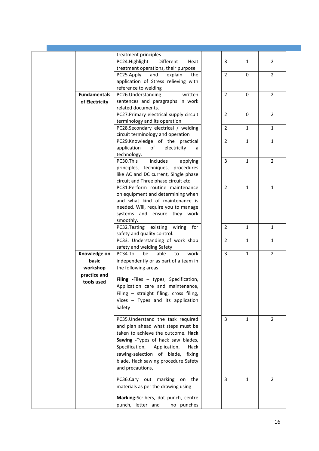|                     | treatment principles                                                  |                |              |                |
|---------------------|-----------------------------------------------------------------------|----------------|--------------|----------------|
|                     | Different<br>PC24.Highlight<br>Heat                                   | 3              | $\mathbf{1}$ | $\overline{2}$ |
|                     | treatment operations, their purpose                                   |                |              |                |
|                     | PC25.Apply<br>and<br>explain<br>the                                   | $\overline{2}$ | 0            | $\overline{2}$ |
|                     |                                                                       |                |              |                |
|                     | application of Stress relieving with                                  |                |              |                |
|                     | reference to welding                                                  |                |              |                |
| <b>Fundamentals</b> | PC26.Understanding<br>written                                         | $\overline{2}$ | 0            | $\overline{2}$ |
| of Electricity      | sentences and paragraphs in work                                      |                |              |                |
|                     | related documents.                                                    |                |              |                |
|                     | PC27.Primary electrical supply circuit                                | $\overline{2}$ | $\Omega$     | $\overline{2}$ |
|                     | terminology and its operation                                         |                |              |                |
|                     |                                                                       | $\overline{2}$ | $\mathbf{1}$ | $\mathbf{1}$   |
|                     | PC28.Secondary electrical / welding                                   |                |              |                |
|                     | circuit terminology and operation                                     |                |              |                |
|                     | PC29.Knowledge of the practical                                       | $\overline{2}$ | $\mathbf{1}$ | $\mathbf{1}$   |
|                     | application<br>of<br>electricity<br>a                                 |                |              |                |
|                     | technology.                                                           |                |              |                |
|                     | includes<br>PC30.This<br>applying                                     | $\overline{3}$ | $\mathbf{1}$ | $\overline{2}$ |
|                     | principles, techniques, procedures                                    |                |              |                |
|                     | like AC and DC current, Single phase                                  |                |              |                |
|                     |                                                                       |                |              |                |
|                     | circuit and Three phase circuit etc                                   |                |              |                |
|                     | PC31.Perform routine maintenance                                      | $\overline{2}$ | $\mathbf{1}$ | $\mathbf{1}$   |
|                     | on equipment and determining when                                     |                |              |                |
|                     | and what kind of maintenance is                                       |                |              |                |
|                     | needed. Will, require you to manage                                   |                |              |                |
|                     | systems and ensure they work                                          |                |              |                |
|                     | smoothly.                                                             |                |              |                |
|                     |                                                                       | $\overline{2}$ | $\mathbf{1}$ | $\mathbf{1}$   |
|                     | PC32.Testing existing wiring for                                      |                |              |                |
|                     | safety and quality control.                                           |                |              |                |
|                     | PC33. Understanding of work shop                                      | $\overline{2}$ | $\mathbf{1}$ | $\mathbf{1}$   |
|                     | safety and welding Safety                                             |                |              |                |
| Knowledge on        | PC34.To<br>able<br>be<br>work<br>to                                   | $\overline{3}$ | $\mathbf{1}$ | $\overline{2}$ |
| basic               | independently or as part of a team in                                 |                |              |                |
| workshop            | the following areas                                                   |                |              |                |
|                     |                                                                       |                |              |                |
| practice and        | Filing -Files - types, Specification,                                 |                |              |                |
| tools used          |                                                                       |                |              |                |
|                     | Application care and maintenance,                                     |                |              |                |
|                     | Filing - straight filing, cross filing,                               |                |              |                |
|                     | Vices - Types and its application                                     |                |              |                |
|                     | Safety                                                                |                |              |                |
|                     |                                                                       |                |              |                |
|                     | PC35.Understand the task required                                     | 3              | $\mathbf{1}$ | $\overline{2}$ |
|                     | and plan ahead what steps must be                                     |                |              |                |
|                     |                                                                       |                |              |                |
|                     |                                                                       |                |              |                |
|                     | taken to achieve the outcome. Hack                                    |                |              |                |
|                     | Sawing -Types of hack saw blades,                                     |                |              |                |
|                     | Specification,<br>Application,<br>Hack                                |                |              |                |
|                     |                                                                       |                |              |                |
|                     | sawing-selection of blade,<br>fixing                                  |                |              |                |
|                     | blade, Hack sawing procedure Safety                                   |                |              |                |
|                     | and precautions,                                                      |                |              |                |
|                     |                                                                       |                |              |                |
|                     | PC36.Cary out marking on the                                          | 3              | 1            | 2              |
|                     | materials as per the drawing using                                    |                |              |                |
|                     |                                                                       |                |              |                |
|                     | Marking-Scribers, dot punch, centre<br>punch, letter and - no punches |                |              |                |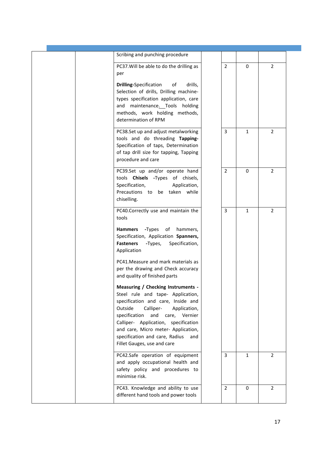| Scribing and punching procedure                                                                                                                                                                                                                                                                                                                 |                |              |                |
|-------------------------------------------------------------------------------------------------------------------------------------------------------------------------------------------------------------------------------------------------------------------------------------------------------------------------------------------------|----------------|--------------|----------------|
| PC37. Will be able to do the drilling as<br>per                                                                                                                                                                                                                                                                                                 | $\overline{2}$ | 0            | $\overline{2}$ |
| <b>Drilling-Specification</b><br>of<br>drills,<br>Selection of drills, Drilling machine-<br>types specification application, care<br>and maintenance. Tools holding<br>methods, work holding methods,<br>determination of RPM                                                                                                                   |                |              |                |
| PC38.Set up and adjust metalworking<br>tools and do threading Tapping-<br>Specification of taps, Determination<br>of tap drill size for tapping, Tapping<br>procedure and care                                                                                                                                                                  | 3              | 1            | $\overline{2}$ |
| PC39.Set up and/or operate hand<br>tools Chisels -Types of chisels,<br>Specification,<br>Application,<br>Precautions to be taken while<br>chiselling.                                                                                                                                                                                           | $\overline{2}$ | $\Omega$     | $\overline{2}$ |
| PC40.Correctly use and maintain the<br>tools                                                                                                                                                                                                                                                                                                    | $\overline{3}$ | $\mathbf{1}$ | $\overline{2}$ |
| -Types of<br>Hammers<br>hammers,<br>Specification, Application Spanners,<br>Specification,<br><b>Fasteners</b><br>-Types,<br>Application                                                                                                                                                                                                        |                |              |                |
| PC41. Measure and mark materials as<br>per the drawing and Check accuracy<br>and quality of finished parts                                                                                                                                                                                                                                      |                |              |                |
| Measuring / Checking Instruments -<br>Steel rule and tape- Application,<br>specification and care, Inside and<br>Outside<br>Calliper-<br>Application,<br>specification and care, Vernier<br>Calliper- Application, specification<br>and care, Micro meter- Application,<br>specification and care, Radius<br>and<br>Fillet Gauges, use and care |                |              |                |
| PC42.Safe operation of equipment<br>and apply occupational health and<br>safety policy and procedures to<br>minimise risk.                                                                                                                                                                                                                      | 3              | $\mathbf{1}$ | $\overline{2}$ |
| PC43. Knowledge and ability to use<br>different hand tools and power tools                                                                                                                                                                                                                                                                      | $\overline{2}$ | 0            | $\overline{2}$ |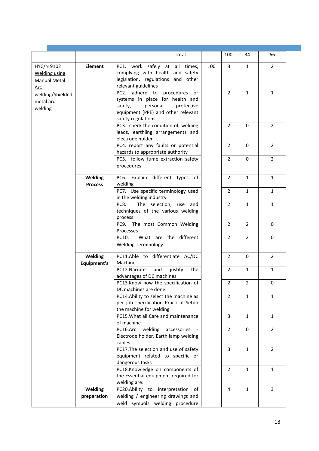|                                                                  |                           | Total.                                                                                                                                                          |     | 100            | 34             | 66             |
|------------------------------------------------------------------|---------------------------|-----------------------------------------------------------------------------------------------------------------------------------------------------------------|-----|----------------|----------------|----------------|
|                                                                  |                           |                                                                                                                                                                 |     |                |                |                |
| HYC/N 9102<br><b>Welding using</b><br><b>Manual Metal</b><br>Arc | Element                   | PC1. work safely at all times,<br>complying with health and safety<br>legislation, regulations and other<br>relevant guidelines                                 | 100 | 3              | $\mathbf{1}$   | $\overline{2}$ |
| welding/Shielded<br>metal arc<br>welding                         |                           | PC2. adhere to procedures or<br>systems in place for health and<br>safety,<br>protective<br>persona<br>equipment (PPE) and other relevant<br>safety regulations |     | $\overline{2}$ | $\mathbf{1}$   | $\mathbf{1}$   |
|                                                                  |                           | PC3. check the condition of, welding<br>leads, earthling arrangements and<br>electrode holder                                                                   |     | $\overline{2}$ | $\Omega$       | $\overline{2}$ |
|                                                                  |                           | PC4. report any faults or potential<br>hazards to appropriate authority                                                                                         |     | $\overline{2}$ | $\Omega$       | $\overline{2}$ |
|                                                                  |                           | PC5. follow fume extraction safety<br>procedures                                                                                                                |     | $\overline{2}$ | $\mathbf 0$    | $\overline{2}$ |
|                                                                  | Welding<br><b>Process</b> | PC6. Explain different types of<br>welding                                                                                                                      |     | $\overline{2}$ | $\mathbf{1}$   | $\mathbf{1}$   |
|                                                                  |                           | PC7. Use specific terminology used<br>in the welding industry                                                                                                   |     | $\overline{2}$ | $\mathbf{1}$   | $\mathbf{1}$   |
|                                                                  |                           | The selection, use<br>PC8.<br>and<br>techniques of the various welding<br>process                                                                               |     | $\overline{2}$ | $\mathbf{1}$   | $\mathbf{1}$   |
|                                                                  |                           | PC9. The most Common Welding<br>Processes                                                                                                                       |     | $\overline{2}$ | $\overline{2}$ | 0              |
|                                                                  |                           | What are the different<br>PC10.<br><b>Welding Terminology</b>                                                                                                   |     | $\overline{2}$ | $\overline{2}$ | 0              |
|                                                                  | Welding<br>Equipment's    | PC11.Able to differentiate AC/DC<br>Machines                                                                                                                    |     | $\overline{2}$ | 0              | $\overline{2}$ |
|                                                                  |                           | PC12.Narrate<br>and<br>justify<br>the<br>advantages of DC machines                                                                                              |     | 2              | 1              | $\mathbf{1}$   |
|                                                                  |                           | PC13.Know how the specification of<br>DC machines are done                                                                                                      |     | $\overline{2}$ | $\overline{2}$ | 0              |
|                                                                  |                           | PC14.Ability to select the machine as<br>per job specification Practical Setup<br>the machine for welding                                                       |     | $\overline{2}$ | $\mathbf{1}$   | $\mathbf{1}$   |
|                                                                  |                           | PC15. What all Care and maintenance<br>of machine                                                                                                               |     | 3              | $\mathbf{1}$   | $\mathbf{1}$   |
|                                                                  |                           | PC16.Arc<br>welding<br>accessories<br>Electrode holder, Earth lamp welding<br>cables                                                                            |     | $\overline{2}$ | 0              | $\overline{2}$ |
|                                                                  |                           | PC17. The selection and use of safety<br>equipment related to specific or<br>dangerous tasks                                                                    |     | 3              | $\mathbf{1}$   | $\overline{2}$ |
|                                                                  |                           | PC18.Knowledge on components of<br>the Essential equipment required for<br>welding are:                                                                         |     | $\overline{2}$ | $\mathbf{1}$   | $\mathbf{1}$   |
|                                                                  | Welding                   | PC20.Ability to interpretation of                                                                                                                               |     | 4              | 1              | 3              |
|                                                                  | preparation               | welding / engineering drawings and<br>weld symbols welding procedure                                                                                            |     |                |                |                |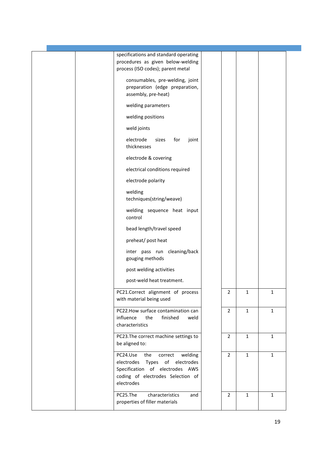|  | specifications and standard operating<br>procedures as given below-welding<br>process (ISO codes); parent metal                                               |                |              |              |  |
|--|---------------------------------------------------------------------------------------------------------------------------------------------------------------|----------------|--------------|--------------|--|
|  | consumables, pre-welding, joint<br>preparation (edge preparation,<br>assembly, pre-heat)                                                                      |                |              |              |  |
|  | welding parameters                                                                                                                                            |                |              |              |  |
|  | welding positions                                                                                                                                             |                |              |              |  |
|  | weld joints                                                                                                                                                   |                |              |              |  |
|  | electrode<br>sizes<br>for<br>joint<br>thicknesses                                                                                                             |                |              |              |  |
|  | electrode & covering                                                                                                                                          |                |              |              |  |
|  | electrical conditions required                                                                                                                                |                |              |              |  |
|  | electrode polarity                                                                                                                                            |                |              |              |  |
|  | welding<br>techniques(string/weave)                                                                                                                           |                |              |              |  |
|  | welding sequence heat input<br>control                                                                                                                        |                |              |              |  |
|  | bead length/travel speed                                                                                                                                      |                |              |              |  |
|  | preheat/ post heat                                                                                                                                            |                |              |              |  |
|  | inter pass run cleaning/back<br>gouging methods                                                                                                               |                |              |              |  |
|  | post welding activities                                                                                                                                       |                |              |              |  |
|  | post-weld heat treatment.                                                                                                                                     |                |              |              |  |
|  | PC21.Correct alignment of process<br>with material being used                                                                                                 | $\overline{2}$ | $\mathbf{1}$ | $\mathbf{1}$ |  |
|  | PC22. How surface contamination can<br>influence<br>the<br>finished<br>weld<br>characteristics                                                                | $\overline{2}$ | $\mathbf{1}$ | $\mathbf{1}$ |  |
|  | PC23. The correct machine settings to<br>be aligned to:                                                                                                       | 2              | $\mathbf{1}$ | $\mathbf{1}$ |  |
|  | PC24.Use<br>the<br>welding<br>correct<br>electrodes Types of electrodes<br>Specification of electrodes AWS<br>coding of electrodes Selection of<br>electrodes | $\overline{2}$ | $\mathbf{1}$ | $\mathbf{1}$ |  |
|  | PC25.The<br>characteristics<br>and<br>properties of filler materials                                                                                          | 2              | 1            | $\mathbf{1}$ |  |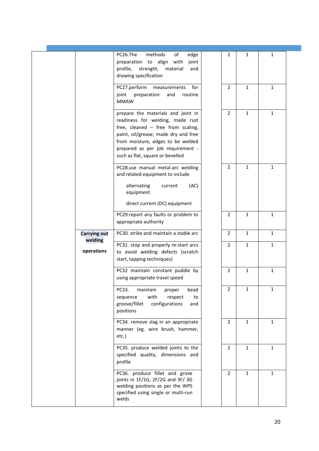|                       | PC26.The<br>methods<br>of<br>edge<br>preparation to align with<br>joint<br>profile, strength,<br>material<br>and<br>drawing specification                                                                                                                          | 2<br>1                         | $\mathbf{1}$ |  |
|-----------------------|--------------------------------------------------------------------------------------------------------------------------------------------------------------------------------------------------------------------------------------------------------------------|--------------------------------|--------------|--|
|                       | PC27.perform<br>for<br>measurements<br>preparation<br>joint<br>and<br>routine<br><b>MMAW</b>                                                                                                                                                                       | $\overline{2}$<br>$\mathbf{1}$ | $\mathbf{1}$ |  |
|                       | prepare the materials and joint in<br>readiness for welding, made rust<br>free, cleaned - free from scaling,<br>paint, oil/grease; made dry and free<br>from moisture, edges to be welded<br>prepared as per job requirement -<br>such as flat, square or bevelled | $\overline{2}$<br>$\mathbf{1}$ | $\mathbf{1}$ |  |
|                       | PC28.use manual metal-arc welding<br>and related equipment to include<br>alternating<br>(AC)<br>current<br>equipment<br>direct current (DC) equipment                                                                                                              | $\overline{2}$<br>$\mathbf{1}$ | $\mathbf{1}$ |  |
|                       | PC29.report any faults or problem to<br>appropriate authority                                                                                                                                                                                                      | $\mathbf{1}$<br>$\overline{2}$ | $\mathbf{1}$ |  |
| <b>Carrying out</b>   | PC30. strike and maintain a stable arc                                                                                                                                                                                                                             | $\overline{2}$<br>$\mathbf{1}$ | $\mathbf{1}$ |  |
| welding<br>operations | PC31. stop and properly re-start arcs<br>to avoid welding defects (scratch<br>start, tapping techniques)                                                                                                                                                           | $\mathbf{1}$<br>$\overline{2}$ | $\mathbf{1}$ |  |
|                       | PC32 maintain constant puddle by<br>using appropriate travel speed                                                                                                                                                                                                 | $\mathbf{1}$<br>$\overline{2}$ | $\mathbf{1}$ |  |
|                       | PC33.<br>maintain<br>bead<br>proper<br>with<br>sequence<br>respect<br>to<br>groove/fillet<br>configurations<br>and<br>positions                                                                                                                                    | $\overline{2}$<br>$\mathbf{1}$ | $\mathbf{1}$ |  |
|                       | PC34. remove slag in an appropriate<br>manner (eg. wire brush, hammer,<br>etc.)                                                                                                                                                                                    | $\overline{2}$<br>$\mathbf{1}$ | $\mathbf{1}$ |  |
|                       | PC35. produce welded joints to the<br>specified quality, dimensions and<br>profile                                                                                                                                                                                 | $\overline{2}$<br>$\mathbf{1}$ | $\mathbf{1}$ |  |
|                       | PC36. produce fillet and grove<br>joints in 1F/1G, 2F/2G and 3F/3G<br>welding positions as per the WPS<br>specified using single or multi-run<br>welds                                                                                                             | $\mathbf{1}$<br>$\overline{2}$ | $\mathbf{1}$ |  |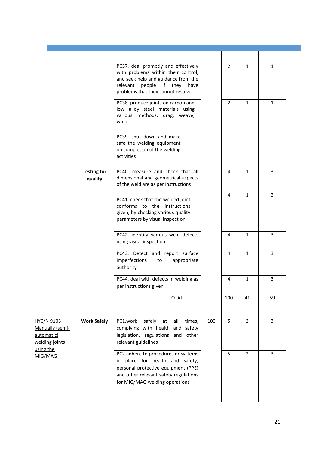|                                                                            |                               | PC37. deal promptly and effectively<br>with problems within their control,<br>and seek help and guidance from the<br>people if they have<br>relevant<br>problems that they cannot resolve |     | 2              | $\mathbf{1}$   | $\mathbf{1}$   |
|----------------------------------------------------------------------------|-------------------------------|-------------------------------------------------------------------------------------------------------------------------------------------------------------------------------------------|-----|----------------|----------------|----------------|
|                                                                            |                               | PC38. produce joints on carbon and<br>low alloy steel materials using<br>various methods: drag, weave,<br>whip                                                                            |     | $\overline{2}$ | $\mathbf{1}$   | $\mathbf{1}$   |
|                                                                            |                               | PC39. shut down and make<br>safe the welding equipment<br>on completion of the welding<br>activities                                                                                      |     |                |                |                |
|                                                                            | <b>Testing for</b><br>quality | PC40. measure and check that all<br>dimensional and geometrical aspects<br>of the weld are as per instructions                                                                            |     | 4              | $\mathbf{1}$   | $\mathbf{3}$   |
|                                                                            |                               | PC41. check that the welded joint<br>conforms to the instructions<br>given, by checking various quality<br>parameters by visual inspection                                                |     | 4              | $\mathbf{1}$   | $\overline{3}$ |
|                                                                            |                               | PC42. identify various weld defects<br>using visual inspection                                                                                                                            |     | 4              | $\mathbf{1}$   | $\overline{3}$ |
|                                                                            |                               | PC43. Detect and report surface<br>imperfections<br>appropriate<br>to<br>authority                                                                                                        |     | 4              | $\mathbf{1}$   | 3              |
|                                                                            |                               | PC44. deal with defects in welding as<br>per instructions given                                                                                                                           |     | 4              | $\mathbf{1}$   | 3              |
|                                                                            |                               | <b>TOTAL</b>                                                                                                                                                                              |     | 100            | 41             | 59             |
|                                                                            |                               |                                                                                                                                                                                           |     |                |                |                |
| HYC/N 9103<br>Manually (semi-<br>automatic)<br>welding joints<br>using the | <b>Work Safely</b>            | PC1.work<br>safely at<br>all<br>times,<br>complying with health and safety<br>legislation, regulations and other<br>relevant guidelines                                                   | 100 | 5              | $\overline{2}$ | $\overline{3}$ |
| MIG/MAG                                                                    |                               | PC2.adhere to procedures or systems<br>in place for health and safety,<br>personal protective equipment (PPE)<br>and other relevant safety regulations<br>for MIG/MAG welding operations  |     | 5              | $\overline{2}$ | $\overline{3}$ |
|                                                                            |                               |                                                                                                                                                                                           |     |                |                |                |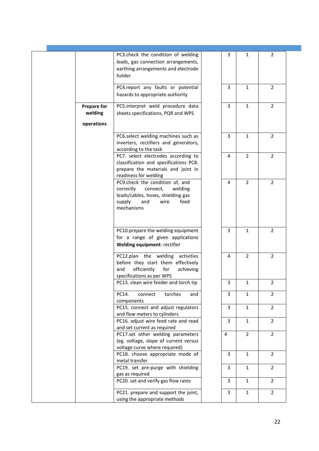|                               | PC3.check the condition of welding<br>leads, gas connection arrangements,<br>earthing arrangements and electrode<br>holder                               | 3              | 1              | 2              |  |
|-------------------------------|----------------------------------------------------------------------------------------------------------------------------------------------------------|----------------|----------------|----------------|--|
|                               | PC4.report any faults or potential<br>hazards to appropriate authority                                                                                   | 3              | $\mathbf{1}$   | $\overline{2}$ |  |
| <b>Prepare for</b><br>welding | PC5.interpret weld procedure data<br>sheets specifications, PQR and WPS                                                                                  | $\overline{3}$ | $\mathbf{1}$   | $\overline{2}$ |  |
| operations                    |                                                                                                                                                          |                |                |                |  |
|                               | PC6.select welding machines such as<br>inverters, rectifiers and generators,<br>according to the task                                                    | 3              | 1              | $\overline{2}$ |  |
|                               | PC7. select electrodes according to<br>classification and specifications PC8.<br>prepare the materials and joint in<br>readiness for welding             | 4              | $\overline{2}$ | $\overline{2}$ |  |
|                               | PC9.check the condition of, and<br>correctly<br>connect,<br>welding<br>leads/cables, hoses, shielding gas<br>supply<br>feed<br>and<br>wire<br>mechanisms | 4              | $\overline{2}$ | $\overline{2}$ |  |
|                               | PC10.prepare the welding equipment<br>for a range of given applications<br>Welding equipment: rectifier                                                  | 3              | $\mathbf{1}$   | $\overline{2}$ |  |
|                               | PC12.plan the welding activities<br>before they start them effectively<br>efficiently<br>for<br>achieving<br>and<br>specifications as per WPS            | 4              | $\overline{2}$ | $\overline{2}$ |  |
|                               | PC13. clean wire feeder and torch tip                                                                                                                    | 3              | 1              | 2              |  |
|                               | PC14.<br>torches<br>connect<br>and<br>components                                                                                                         | 3              | $\mathbf{1}$   | $\overline{2}$ |  |
|                               | PC15. connect and adjust regulators<br>and flow meters to cylinders                                                                                      | 3              | $\mathbf{1}$   | $\overline{2}$ |  |
|                               | PC16. adjust wire feed rate and read<br>and set current as required                                                                                      | $\mathbf{3}$   | $\mathbf{1}$   | $\overline{2}$ |  |
|                               | PC17.set other welding parameters<br>(eg. voltage, slope of current versus<br>voltage curve where required)                                              | $\overline{4}$ | $\overline{2}$ | $\overline{2}$ |  |
|                               | PC18. choose appropriate mode of<br>metal transfer                                                                                                       | 3              | $\mathbf{1}$   | $\overline{2}$ |  |
|                               | PC19. set pre-purge with shielding<br>gas as required                                                                                                    | $\overline{3}$ | $\mathbf{1}$   | $\overline{2}$ |  |
|                               | PC20. set and verify gas flow rates                                                                                                                      | 3              | $\mathbf{1}$   | $\overline{2}$ |  |
|                               | PC21. prepare and support the joint,<br>using the appropriate methods                                                                                    | 3              | $\mathbf{1}$   | $\overline{2}$ |  |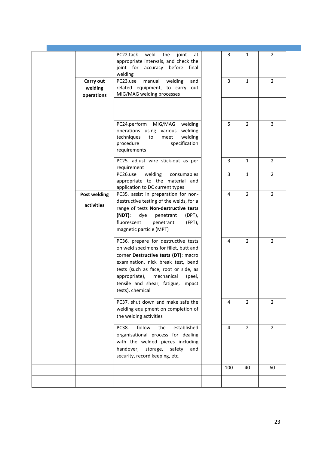|                                    | PC22.tack<br>weld<br>the<br>joint<br>at<br>appropriate intervals, and check the<br>joint for accuracy before final<br>welding                                                                                                                                                                           | 3   | 1              | 2              |
|------------------------------------|---------------------------------------------------------------------------------------------------------------------------------------------------------------------------------------------------------------------------------------------------------------------------------------------------------|-----|----------------|----------------|
| Carry out<br>welding<br>operations | PC23.use<br>manual<br>welding<br>and<br>related equipment, to carry out<br>MIG/MAG welding processes                                                                                                                                                                                                    | 3   | $\mathbf{1}$   | $\overline{2}$ |
|                                    |                                                                                                                                                                                                                                                                                                         |     |                |                |
|                                    | PC24.perform<br>MIG/MAG<br>welding<br>operations using various<br>welding<br>techniques<br>welding<br>to<br>meet<br>specification<br>procedure<br>requirements                                                                                                                                          | 5   | $\overline{2}$ | $\overline{3}$ |
|                                    | PC25. adjust wire stick-out as per<br>requirement                                                                                                                                                                                                                                                       | 3   | 1              | $\overline{2}$ |
|                                    | welding<br>PC26.use<br>consumables<br>appropriate to the material and<br>application to DC current types                                                                                                                                                                                                | 3   | $\mathbf{1}$   | $\overline{2}$ |
| Post welding                       | PC35. assist in preparation for non-                                                                                                                                                                                                                                                                    | 4   | $\overline{2}$ | $\overline{2}$ |
| activities                         | destructive testing of the welds, for a<br>range of tests Non-destructive tests                                                                                                                                                                                                                         |     |                |                |
|                                    | (NDT):<br>dye<br>penetrant<br>(DPT),<br>fluorescent<br>(FPT),<br>penetrant<br>magnetic particle (MPT)                                                                                                                                                                                                   |     |                |                |
|                                    | PC36. prepare for destructive tests<br>on weld specimens for fillet, butt and<br>corner Destructive tests (DT): macro<br>examination, nick break test, bend<br>tests (such as face, root or side, as<br>mechanical<br>appropriate),<br>(peel,<br>tensile and shear, fatigue, impact<br>tests), chemical | 4   | $\overline{2}$ | $\overline{2}$ |
|                                    | PC37. shut down and make safe the<br>welding equipment on completion of<br>the welding activities                                                                                                                                                                                                       | 4   | $\overline{2}$ | $\overline{2}$ |
|                                    | follow<br>established<br>PC38.<br>the<br>organisational process for dealing<br>with the welded pieces including<br>handover,<br>safety<br>storage,<br>and<br>security, record keeping, etc.                                                                                                             | 4   | $\overline{2}$ | $\overline{2}$ |
|                                    |                                                                                                                                                                                                                                                                                                         | 100 | 40             | 60             |
|                                    |                                                                                                                                                                                                                                                                                                         |     |                |                |
|                                    |                                                                                                                                                                                                                                                                                                         |     |                |                |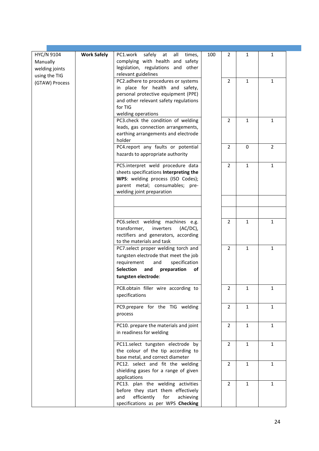| HYC/N 9104     | <b>Work Safely</b> | PC1.work<br>safely<br>at<br>all<br>times,                                    | 100 | 2              | 1            | 1              |  |
|----------------|--------------------|------------------------------------------------------------------------------|-----|----------------|--------------|----------------|--|
| Manually       |                    | complying with health and safety                                             |     |                |              |                |  |
| welding joints |                    | legislation, regulations and other                                           |     |                |              |                |  |
| using the TIG  |                    | relevant guidelines                                                          |     |                |              |                |  |
| (GTAW) Process |                    | PC2.adhere to procedures or systems                                          |     | $\overline{2}$ | $\mathbf{1}$ | $\mathbf{1}$   |  |
|                |                    | in place for health and safety,<br>personal protective equipment (PPE)       |     |                |              |                |  |
|                |                    | and other relevant safety regulations                                        |     |                |              |                |  |
|                |                    | for TIG                                                                      |     |                |              |                |  |
|                |                    | welding operations                                                           |     |                |              |                |  |
|                |                    | PC3.check the condition of welding                                           |     | 2              | $\mathbf{1}$ | $\mathbf{1}$   |  |
|                |                    | leads, gas connection arrangements,<br>earthing arrangements and electrode   |     |                |              |                |  |
|                |                    | holder                                                                       |     |                |              |                |  |
|                |                    | PC4.report any faults or potential                                           |     | $\overline{2}$ | 0            | $\overline{2}$ |  |
|                |                    | hazards to appropriate authority                                             |     |                |              |                |  |
|                |                    | PC5.interpret weld procedure data                                            |     | $\overline{2}$ | $\mathbf{1}$ | $\mathbf{1}$   |  |
|                |                    | sheets specifications Interpreting the                                       |     |                |              |                |  |
|                |                    | WPS: welding process (ISO Codes);                                            |     |                |              |                |  |
|                |                    | parent metal; consumables; pre-<br>welding joint preparation                 |     |                |              |                |  |
|                |                    |                                                                              |     |                |              |                |  |
|                |                    |                                                                              |     |                |              |                |  |
|                |                    | PC6.select welding machines e.g.                                             |     | 2              | 1            | $\mathbf{1}$   |  |
|                |                    | transformer,<br>inverters<br>$(AC/DC)$ ,                                     |     |                |              |                |  |
|                |                    | rectifiers and generators, according<br>to the materials and task            |     |                |              |                |  |
|                |                    | PC7.select proper welding torch and                                          |     | 2              | 1            | $\mathbf{1}$   |  |
|                |                    | tungsten electrode that meet the job                                         |     |                |              |                |  |
|                |                    | requirement<br>and<br>specification<br><b>Selection</b><br>and<br>of         |     |                |              |                |  |
|                |                    | preparation<br>tungsten electrode:                                           |     |                |              |                |  |
|                |                    | PC8.obtain filler wire according to                                          |     | 2              | $\mathbf{1}$ |                |  |
|                |                    | specifications                                                               |     |                |              |                |  |
|                |                    | PC9.prepare for the TIG welding                                              |     | $\overline{2}$ | $\mathbf{1}$ | $\mathbf{1}$   |  |
|                |                    | process                                                                      |     |                |              |                |  |
|                |                    | PC10. prepare the materials and joint                                        |     | $\overline{2}$ | $\mathbf{1}$ | $\mathbf{1}$   |  |
|                |                    | in readiness for welding                                                     |     |                |              |                |  |
|                |                    | PC11.select tungsten electrode by                                            |     | $\overline{2}$ | $\mathbf{1}$ | $\mathbf{1}$   |  |
|                |                    | the colour of the tip according to                                           |     |                |              |                |  |
|                |                    | base metal, and correct diameter<br>PC12. select and fit the welding         |     | $\overline{2}$ | $\mathbf{1}$ | $\mathbf{1}$   |  |
|                |                    | shielding gases for a range of given                                         |     |                |              |                |  |
|                |                    | applications                                                                 |     |                |              |                |  |
|                |                    | PC13. plan the welding activities                                            |     | $\overline{2}$ | $\mathbf{1}$ | $\mathbf{1}$   |  |
|                |                    | before they start them effectively<br>efficiently<br>for<br>and<br>achieving |     |                |              |                |  |
|                |                    | specifications as per WPS Checking                                           |     |                |              |                |  |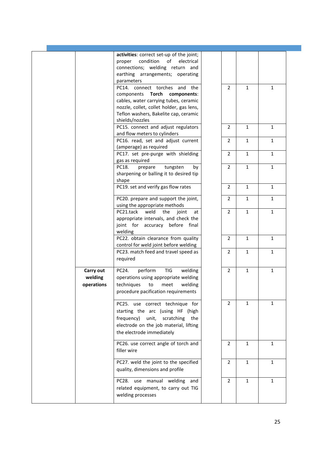|                                    | activities: correct set-up of the joint;<br>proper<br>condition<br>electrical<br>of<br>connections; welding return and<br>earthing arrangements; operating<br>parameters                                       |                |              |              |  |
|------------------------------------|----------------------------------------------------------------------------------------------------------------------------------------------------------------------------------------------------------------|----------------|--------------|--------------|--|
|                                    | PC14. connect torches and the<br>components Torch components:<br>cables, water carrying tubes, ceramic<br>nozzle, collet, collet holder, gas lens,<br>Teflon washers, Bakelite cap, ceramic<br>shields/nozzles | $\overline{2}$ | $\mathbf{1}$ | $\mathbf{1}$ |  |
|                                    | PC15. connect and adjust regulators<br>and flow meters to cylinders                                                                                                                                            | $\overline{2}$ | $\mathbf{1}$ | $\mathbf{1}$ |  |
|                                    | PC16. read, set and adjust current<br>(amperage) as required                                                                                                                                                   | 2              | $\mathbf{1}$ | $\mathbf{1}$ |  |
|                                    | PC17. set pre-purge with shielding<br>gas as required                                                                                                                                                          | $\overline{2}$ | $\mathbf{1}$ | $\mathbf{1}$ |  |
|                                    | PC18.<br>tungsten<br>prepare<br>by<br>sharpening or balling it to desired tip<br>shape                                                                                                                         | $\overline{2}$ | $\mathbf{1}$ | $\mathbf{1}$ |  |
|                                    | PC19. set and verify gas flow rates                                                                                                                                                                            | 2              | 1            | $\mathbf{1}$ |  |
|                                    | PC20. prepare and support the joint,<br>using the appropriate methods                                                                                                                                          | $\overline{2}$ | $\mathbf{1}$ | $\mathbf{1}$ |  |
|                                    | weld<br>PC21.tack<br>the<br>joint<br>at<br>appropriate intervals, and check the<br>joint for accuracy before final<br>welding                                                                                  | $\overline{2}$ | 1            | $\mathbf{1}$ |  |
|                                    | PC22. obtain clearance from quality<br>control for weld joint before welding                                                                                                                                   | 2              | 1            | $\mathbf{1}$ |  |
|                                    | PC23. match feed and travel speed as<br>required                                                                                                                                                               | $\overline{2}$ | $\mathbf{1}$ | $\mathbf{1}$ |  |
| Carry out<br>welding<br>operations | PC24.<br>perform<br>TIG<br>welding<br>operations using appropriate welding<br>techniques to meet welding<br>procedure pacification requirements                                                                | 2              | 1            | $\mathbf{1}$ |  |
|                                    | PC25. use correct technique for<br>starting the arc (using HF (high<br>frequency)<br>unit,<br>scratching<br>the<br>electrode on the job material, lifting<br>the electrode immediately                         | $\overline{2}$ | $\mathbf{1}$ | $\mathbf{1}$ |  |
|                                    | PC26. use correct angle of torch and<br>filler wire                                                                                                                                                            | 2              | 1            | 1            |  |
|                                    | PC27. weld the joint to the specified<br>quality, dimensions and profile                                                                                                                                       | $\overline{2}$ | $\mathbf{1}$ | $\mathbf{1}$ |  |
|                                    | PC28. use manual welding and<br>related equipment, to carry out TIG<br>welding processes                                                                                                                       | 2              | $\mathbf{1}$ | $\mathbf{1}$ |  |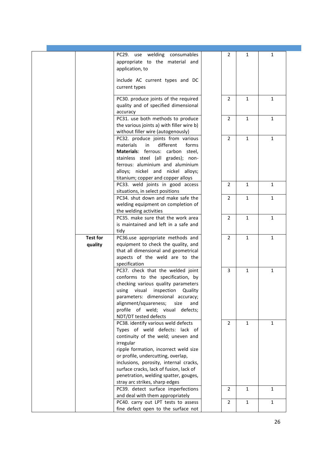|                            | PC29. use welding consumables<br>appropriate to the material and<br>application, to                                                                                                                                                                                                                                                                                     | 2              | $\mathbf{1}$ | 1            |  |
|----------------------------|-------------------------------------------------------------------------------------------------------------------------------------------------------------------------------------------------------------------------------------------------------------------------------------------------------------------------------------------------------------------------|----------------|--------------|--------------|--|
|                            | include AC current types and DC<br>current types                                                                                                                                                                                                                                                                                                                        |                |              |              |  |
|                            | PC30. produce joints of the required<br>quality and of specified dimensional<br>accuracy                                                                                                                                                                                                                                                                                | 2              | $\mathbf{1}$ | $\mathbf{1}$ |  |
|                            | PC31. use both methods to produce<br>the various joints a) with filler wire b)<br>without filler wire (autogenously)                                                                                                                                                                                                                                                    | $\overline{2}$ | $\mathbf{1}$ | $\mathbf{1}$ |  |
|                            | PC32. produce joints from various<br>materials<br>different<br>forms<br>in<br>Materials: ferrous: carbon steel,<br>stainless steel (all grades); non-<br>ferrous: aluminium and aluminium<br>alloys; nickel and nickel alloys;<br>titanium; copper and copper alloys                                                                                                    | $\overline{2}$ | $\mathbf{1}$ | $\mathbf{1}$ |  |
|                            | PC33. weld joints in good access<br>situations, in select positions                                                                                                                                                                                                                                                                                                     | 2              | $\mathbf{1}$ | $\mathbf{1}$ |  |
|                            | PC34. shut down and make safe the<br>welding equipment on completion of<br>the welding activities                                                                                                                                                                                                                                                                       | $\overline{2}$ | $\mathbf{1}$ | $\mathbf{1}$ |  |
|                            | PC35. make sure that the work area<br>is maintained and left in a safe and<br>tidy                                                                                                                                                                                                                                                                                      | $\overline{2}$ | $\mathbf{1}$ | $\mathbf{1}$ |  |
| <b>Test for</b><br>quality | PC36.use appropriate methods and<br>equipment to check the quality, and<br>that all dimensional and geometrical<br>aspects of the weld are to the<br>specification                                                                                                                                                                                                      | $\overline{2}$ | $\mathbf{1}$ | $\mathbf{1}$ |  |
|                            | PC37. check that the welded joint<br>conforms to the specification, by<br>checking various quality parameters<br>using visual inspection Quality<br>parameters: dimensional accuracy;<br>alignment/squareness;<br>size<br>and<br>profile of weld; visual defects;<br>NDT/DT tested defects                                                                              | 3              | $\mathbf{1}$ | $\mathbf{1}$ |  |
|                            | PC38. identify various weld defects<br>Types of weld defects: lack of<br>continuity of the weld; uneven and<br>irregular<br>ripple formation, incorrect weld size<br>or profile, undercutting, overlap,<br>inclusions, porosity, internal cracks,<br>surface cracks, lack of fusion, lack of<br>penetration, welding spatter, gouges,<br>stray arc strikes, sharp edges | $\overline{2}$ | $\mathbf{1}$ | $\mathbf{1}$ |  |
|                            | PC39. detect surface imperfections<br>and deal with them appropriately                                                                                                                                                                                                                                                                                                  | 2              | 1            | $\mathbf{1}$ |  |
|                            | PC40. carry out LPT tests to assess<br>fine defect open to the surface not                                                                                                                                                                                                                                                                                              | $\overline{2}$ | 1            | $\mathbf{1}$ |  |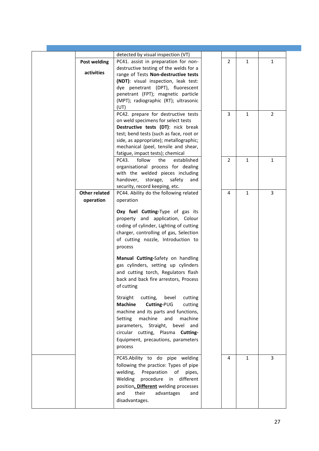|                      | detected by visual inspection (VT)       |                |              |                |
|----------------------|------------------------------------------|----------------|--------------|----------------|
| <b>Post welding</b>  | PC41. assist in preparation for non-     | $\overline{2}$ | $\mathbf{1}$ | $\mathbf{1}$   |
|                      | destructive testing of the welds for a   |                |              |                |
| activities           | range of Tests Non-destructive tests     |                |              |                |
|                      | (NDT): visual inspection, leak test:     |                |              |                |
|                      | dye penetrant (DPT), fluorescent         |                |              |                |
|                      | penetrant (FPT); magnetic particle       |                |              |                |
|                      | (MPT); radiographic (RT); ultrasonic     |                |              |                |
|                      |                                          |                |              |                |
|                      | (UT)                                     |                |              |                |
|                      | PC42. prepare for destructive tests      | 3              | $\mathbf{1}$ | $\overline{2}$ |
|                      | on weld specimens for select tests       |                |              |                |
|                      | Destructive tests (DT): nick break       |                |              |                |
|                      | test; bend tests (such as face, root or  |                |              |                |
|                      | side, as appropriate); metallographic;   |                |              |                |
|                      | mechanical (peel, tensile and shear,     |                |              |                |
|                      | fatigue, impact tests); chemical         |                |              |                |
|                      | follow<br>PC43.<br>the<br>established    | 2              | $\mathbf{1}$ | $\mathbf{1}$   |
|                      | organisational process for dealing       |                |              |                |
|                      |                                          |                |              |                |
|                      | with the welded pieces including         |                |              |                |
|                      | handover,<br>storage,<br>safety<br>and   |                |              |                |
|                      | security, record keeping, etc.           |                |              |                |
| <b>Other related</b> | PC44. Ability do the following related   | 4              | 1            | 3              |
| operation            | operation                                |                |              |                |
|                      |                                          |                |              |                |
|                      | Oxy fuel Cutting-Type of gas its         |                |              |                |
|                      | property and application, Colour         |                |              |                |
|                      | coding of cylinder, Lighting of cutting  |                |              |                |
|                      | charger, controlling of gas, Selection   |                |              |                |
|                      |                                          |                |              |                |
|                      | of cutting nozzle, Introduction to       |                |              |                |
|                      | process                                  |                |              |                |
|                      | Manual Cutting-Safety on handling        |                |              |                |
|                      |                                          |                |              |                |
|                      | gas cylinders, setting up cylinders      |                |              |                |
|                      | and cutting torch, Regulators flash      |                |              |                |
|                      | back and back fire arrestors, Process    |                |              |                |
|                      | of cutting                               |                |              |                |
|                      |                                          |                |              |                |
|                      | Straight<br>cutting,<br>bevel<br>cutting |                |              |                |
|                      | <b>Machine</b><br>Cutting-PUG<br>cutting |                |              |                |
|                      |                                          |                |              |                |
|                      | machine and its parts and functions,     |                |              |                |
|                      | Setting<br>machine<br>and<br>machine     |                |              |                |
|                      | parameters, Straight, bevel and          |                |              |                |
|                      | circular cutting, Plasma Cutting-        |                |              |                |
|                      |                                          |                |              |                |
|                      | Equipment, precautions, parameters       |                |              |                |
|                      | process                                  |                |              |                |
|                      |                                          |                |              |                |
|                      | PC45.Ability to do pipe welding          | 4              | $\mathbf{1}$ | 3              |
|                      | following the practice: Types of pipe    |                |              |                |
|                      | welding,<br>Preparation<br>of<br>pipes,  |                |              |                |
|                      | Welding procedure in different           |                |              |                |
|                      |                                          |                |              |                |
|                      | position, Different welding processes    |                |              |                |
|                      | and<br>their<br>advantages<br>and        |                |              |                |
|                      | disadvantages.                           |                |              |                |
|                      |                                          |                |              |                |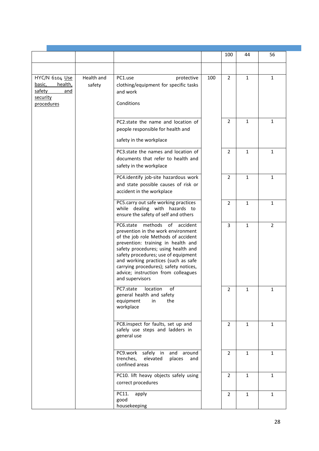|                                                                                |                      |                                                                                                                                                                                                                                                                                                                                                                                |     | 100            | 44           | 56           |  |
|--------------------------------------------------------------------------------|----------------------|--------------------------------------------------------------------------------------------------------------------------------------------------------------------------------------------------------------------------------------------------------------------------------------------------------------------------------------------------------------------------------|-----|----------------|--------------|--------------|--|
|                                                                                |                      |                                                                                                                                                                                                                                                                                                                                                                                |     |                |              |              |  |
| HYC/N 6104 Use<br>basic,<br>health,<br>safety<br>and<br>security<br>procedures | Health and<br>safety | PC1.use<br>protective<br>clothing/equipment for specific tasks<br>and work<br>Conditions                                                                                                                                                                                                                                                                                       | 100 | 2              | $\mathbf{1}$ | $\mathbf{1}$ |  |
|                                                                                |                      | PC2.state the name and location of<br>people responsible for health and<br>safety in the workplace                                                                                                                                                                                                                                                                             |     | $\overline{2}$ | $\mathbf{1}$ | $\mathbf{1}$ |  |
|                                                                                |                      | PC3.state the names and location of<br>documents that refer to health and<br>safety in the workplace                                                                                                                                                                                                                                                                           |     | $\overline{2}$ | $\mathbf{1}$ | $\mathbf{1}$ |  |
|                                                                                |                      | PC4.identify job-site hazardous work<br>and state possible causes of risk or<br>accident in the workplace                                                                                                                                                                                                                                                                      |     | $\overline{2}$ | $\mathbf{1}$ | $\mathbf{1}$ |  |
|                                                                                |                      | PC5.carry out safe working practices<br>while dealing with hazards to<br>ensure the safety of self and others                                                                                                                                                                                                                                                                  |     | $\overline{2}$ | $\mathbf{1}$ | $\mathbf{1}$ |  |
|                                                                                |                      | methods<br>of accident<br>PC6.state<br>prevention in the work environment<br>of the job role Methods of accident<br>prevention: training in health and<br>safety procedures; using health and<br>safety procedures; use of equipment<br>and working practices (such as safe<br>carrying procedures); safety notices,<br>advice; instruction from colleagues<br>and supervisors |     | 3              | $\mathbf{1}$ | 2            |  |
|                                                                                |                      | PC7.state<br>location<br>оt<br>general health and safety<br>equipment<br>in<br>the<br>workplace                                                                                                                                                                                                                                                                                |     | $\overline{2}$ | 1            | $\mathbf{1}$ |  |
|                                                                                |                      | PC8.inspect for faults, set up and<br>safely use steps and ladders in<br>general use                                                                                                                                                                                                                                                                                           |     | 2              | 1            | $\mathbf{1}$ |  |
|                                                                                |                      | safely in<br>PC9.work<br>and around<br>trenches,<br>elevated<br>places<br>and<br>confined areas                                                                                                                                                                                                                                                                                |     | 2              | $\mathbf{1}$ | $\mathbf{1}$ |  |
|                                                                                |                      | PC10. lift heavy objects safely using<br>correct procedures                                                                                                                                                                                                                                                                                                                    |     | $\overline{2}$ | $\mathbf{1}$ | $\mathbf{1}$ |  |
|                                                                                |                      | PC11.<br>apply<br>good<br>housekeeping                                                                                                                                                                                                                                                                                                                                         |     | $\overline{2}$ | 1            | $\mathbf{1}$ |  |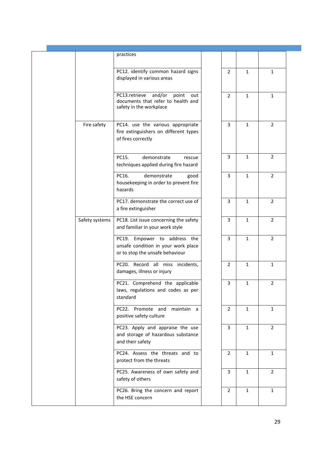|                | practices                                                                                                |                |              |                |  |
|----------------|----------------------------------------------------------------------------------------------------------|----------------|--------------|----------------|--|
|                | PC12. identify common hazard signs<br>displayed in various areas                                         | $\overline{2}$ | $\mathbf{1}$ | $\mathbf{1}$   |  |
|                | and/or<br>PC13.retrieve<br>point<br>out<br>documents that refer to health and<br>safety in the workplace | $\overline{2}$ | $\mathbf{1}$ | $\mathbf{1}$   |  |
| Fire safety    | PC14. use the various appropriate<br>fire extinguishers on different types<br>of fires correctly         | 3              | $\mathbf{1}$ | $\overline{2}$ |  |
|                | PC15.<br>demonstrate<br>rescue<br>techniques applied during fire hazard                                  | 3              | 1            | $\overline{2}$ |  |
|                | PC16.<br>demonstrate<br>good<br>housekeeping in order to prevent fire<br>hazards                         | 3              | 1            | 2              |  |
|                | PC17. demonstrate the correct use of<br>a fire extinguisher                                              | 3              | $\mathbf{1}$ | $\overline{2}$ |  |
| Safety systems | PC18. List issue concerning the safety<br>and familiar in your work style                                | 3              | $\mathbf{1}$ | $\overline{2}$ |  |
|                | PC19. Empower to address the<br>unsafe condition in your work place<br>or to stop the unsafe behaviour   | 3              | $\mathbf{1}$ | $\overline{2}$ |  |
|                | PC20. Record all miss incidents,<br>damages, illness or injury                                           | $\overline{2}$ | $\mathbf{1}$ | $\mathbf{1}$   |  |
|                | PC21. Comprehend the applicable<br>laws, regulations and codes as per<br>standard                        | $\overline{3}$ | $\mathbf{1}$ | $\overline{2}$ |  |
|                | PC22. Promote and maintain a<br>positive safety culture                                                  | $\overline{2}$ | $\mathbf{1}$ | $\mathbf{1}$   |  |
|                | PC23. Apply and appraise the use<br>and storage of hazardous substance<br>and their safety               | 3              | $\mathbf{1}$ | $\overline{2}$ |  |
|                | PC24. Assess the threats and to<br>protect from the threats                                              | 2              | $\mathbf{1}$ | $\mathbf{1}$   |  |
|                | PC25. Awareness of own safety and<br>safety of others                                                    | 3              | $\mathbf{1}$ | $\overline{2}$ |  |
|                | PC26. Bring the concern and report<br>the HSE concern                                                    | 2              | $\mathbf{1}$ | $\mathbf{1}$   |  |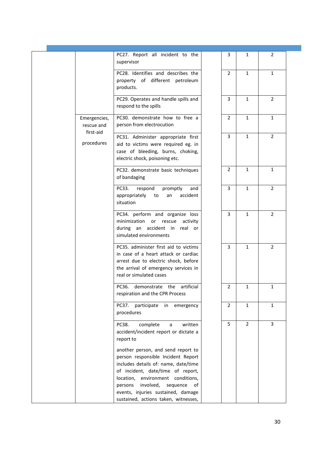| 2<br>$\mathbf{1}$<br>$\overline{2}$                                                                     |
|---------------------------------------------------------------------------------------------------------|
|                                                                                                         |
|                                                                                                         |
|                                                                                                         |
| $\mathbf{1}$                                                                                            |
| $\overline{2}$                                                                                          |
|                                                                                                         |
|                                                                                                         |
|                                                                                                         |
|                                                                                                         |
|                                                                                                         |
|                                                                                                         |
|                                                                                                         |
|                                                                                                         |
| $\mathbf{1}$<br>$\overline{2}$<br>$\overline{2}$<br>$\overline{2}$<br>1<br>$\mathbf{1}$<br>$\mathbf{3}$ |